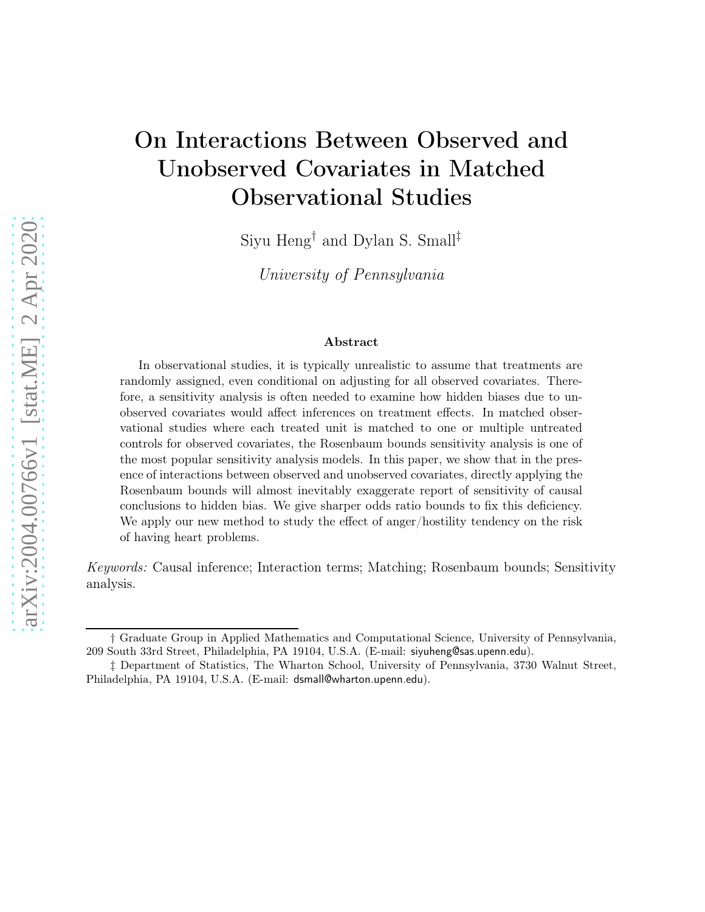# On Interactions Between Observed and Unobserved Covariates in Matched Observational Studies

Siyu Heng† and Dylan S. Small‡

University of Pennsylvania

#### Abstract

In observational studies, it is typically unrealistic to assume that treatments are randomly assigned, even conditional on adjusting for all observed covariates. Therefore, a sensitivity analysis is often needed to examine how hidden biases due to unobserved covariates would affect inferences on treatment effects. In matched observational studies where each treated unit is matched to one or multiple untreated controls for observed covariates, the Rosenbaum bounds sensitivity analysis is one of the most popular sensitivity analysis models. In this paper, we show that in the presence of interactions between observed and unobserved covariates, directly applying the Rosenbaum bounds will almost inevitably exaggerate report of sensitivity of causal conclusions to hidden bias. We give sharper odds ratio bounds to fix this deficiency. We apply our new method to study the effect of anger/hostility tendency on the risk of having heart problems.

Keywords: Causal inference; Interaction terms; Matching; Rosenbaum bounds; Sensitivity analysis.

<sup>†</sup> Graduate Group in Applied Mathematics and Computational Science, University of Pennsylvania, 209 South 33rd Street, Philadelphia, PA 19104, U.S.A. (E-mail: siyuheng@sas.upenn.edu).

<sup>‡</sup> Department of Statistics, The Wharton School, University of Pennsylvania, 3730 Walnut Street, Philadelphia, PA 19104, U.S.A. (E-mail: dsmall@wharton.upenn.edu).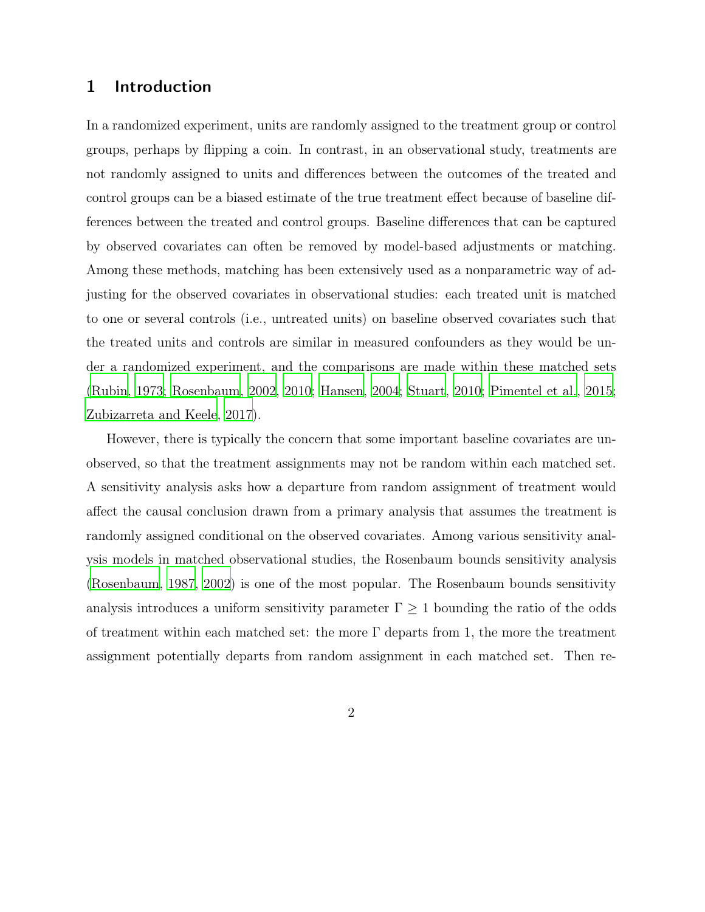#### 1 Introduction

In a randomized experiment, units are randomly assigned to the treatment group or control groups, perhaps by flipping a coin. In contrast, in an observational study, treatments are not randomly assigned to units and differences between the outcomes of the treated and control groups can be a biased estimate of the true treatment effect because of baseline differences between the treated and control groups. Baseline differences that can be captured by observed covariates can often be removed by model-based adjustments or matching. Among these methods, matching has been extensively used as a nonparametric way of adjusting for the observed covariates in observational studies: each treated unit is matched to one or several controls (i.e., untreated units) on baseline observed covariates such that the treated units and controls are similar in measured confounders as they would be under a randomized experiment, and the comparisons are made within these matched sets [\(Rubin, 1973;](#page-19-0) [Rosenbaum](#page-18-0), [2002,](#page-18-0) [2010;](#page-19-1) [Hansen, 2004;](#page-16-0) [Stuart](#page-19-2), [2010](#page-19-2); [Pimentel et al.](#page-18-1), [2015](#page-18-1); [Zubizarreta and Keele, 2017](#page-20-0)).

However, there is typically the concern that some important baseline covariates are unobserved, so that the treatment assignments may not be random within each matched set. A sensitivity analysis asks how a departure from random assignment of treatment would affect the causal conclusion drawn from a primary analysis that assumes the treatment is randomly assigned conditional on the observed covariates. Among various sensitivity analysis models in matched observational studies, the Rosenbaum bounds sensitivity analysis [\(Rosenbaum](#page-18-2), [1987](#page-18-2), [2002](#page-18-0)) is one of the most popular. The Rosenbaum bounds sensitivity analysis introduces a uniform sensitivity parameter  $\Gamma \geq 1$  bounding the ratio of the odds of treatment within each matched set: the more  $\Gamma$  departs from 1, the more the treatment assignment potentially departs from random assignment in each matched set. Then re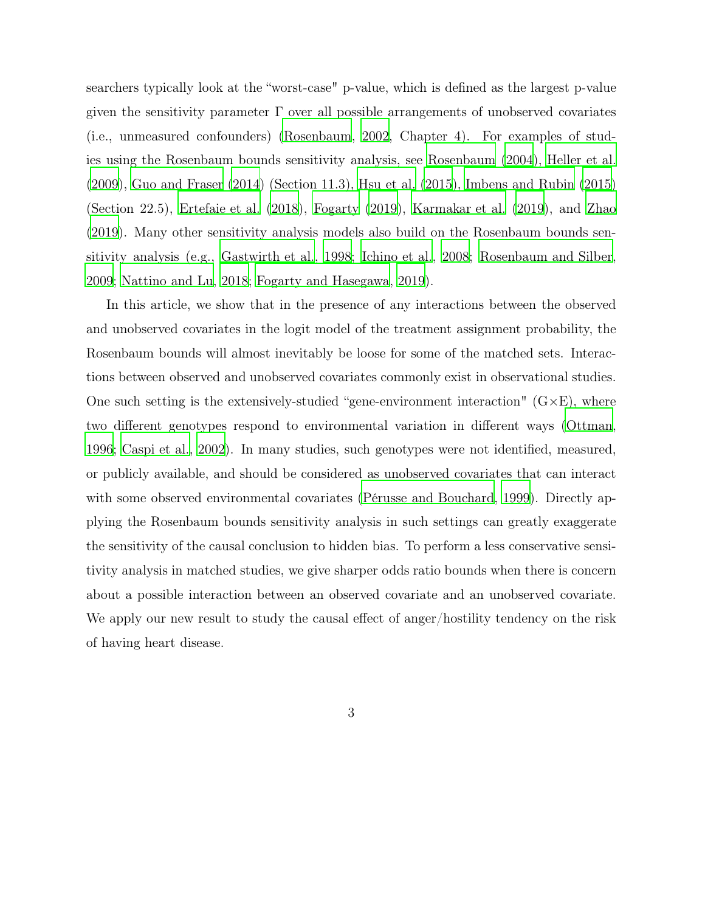searchers typically look at the "worst-case" p-value, which is defined as the largest p-value given the sensitivity parameter  $\Gamma$  over all possible arrangements of unobserved covariates (i.e., unmeasured confounders) [\(Rosenbaum](#page-18-0), [2002,](#page-18-0) Chapter 4). For examples of studies using the Rosenbaum bounds sensitivity analysis, see [Rosenbaum \(2004](#page-19-3)), [Heller et al.](#page-16-1) [\(2009\)](#page-16-1), [Guo and Fraser \(2014\)](#page-16-2) (Section 11.3), [Hsu et al. \(2015\)](#page-17-0), [Imbens and Rubin \(2015\)](#page-17-1) (Section 22.5), [Ertefaie et al. \(2018](#page-15-0)), [Fogarty](#page-16-3) [\(2019\)](#page-16-3), [Karmakar et al. \(2019\)](#page-17-2), and [Zhao](#page-20-1) [\(2019\)](#page-20-1). Many other sensitivity analysis models also build on the Rosenbaum bounds sensitivity analysis (e.g., [Gastwirth et al.](#page-16-4), [1998](#page-16-4); [Ichino et al., 2008;](#page-17-3) [Rosenbaum and Silber](#page-19-4), [2009](#page-19-4); [Nattino and Lu](#page-18-3), [2018;](#page-18-3) [Fogarty and Hasegawa](#page-16-5), [2019](#page-16-5)).

In this article, we show that in the presence of any interactions between the observed and unobserved covariates in the logit model of the treatment assignment probability, the Rosenbaum bounds will almost inevitably be loose for some of the matched sets. Interactions between observed and unobserved covariates commonly exist in observational studies. One such setting is the extensively-studied "gene-environment interaction"  $(G \times E)$ , where two different genotypes respond to environmental variation in different ways [\(Ottman](#page-18-4), [1996](#page-18-4); [Caspi et al., 2002](#page-15-1)). In many studies, such genotypes were not identified, measured, or publicly available, and should be considered as unobserved covariates that can interact with some observed environmental covariates [\(Pérusse and Bouchard](#page-18-5), [1999](#page-18-5)). Directly applying the Rosenbaum bounds sensitivity analysis in such settings can greatly exaggerate the sensitivity of the causal conclusion to hidden bias. To perform a less conservative sensitivity analysis in matched studies, we give sharper odds ratio bounds when there is concern about a possible interaction between an observed covariate and an unobserved covariate. We apply our new result to study the causal effect of anger/hostility tendency on the risk of having heart disease.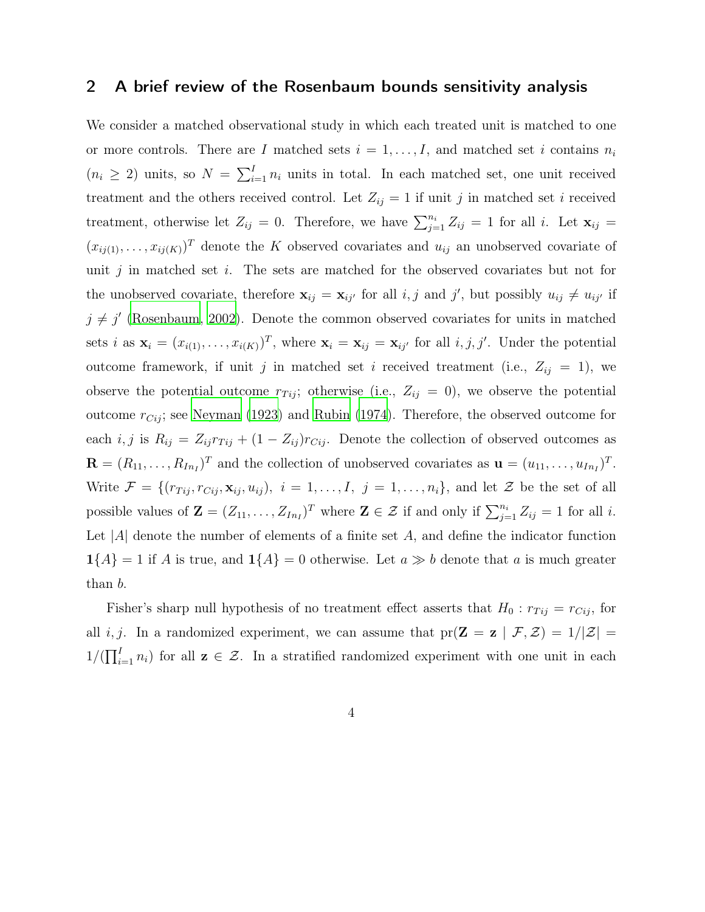### <span id="page-3-0"></span>2 A brief review of the Rosenbaum bounds sensitivity analysis

We consider a matched observational study in which each treated unit is matched to one or more controls. There are I matched sets  $i = 1, \ldots, I$ , and matched set i contains  $n_i$  $(n_i \geq 2)$  units, so  $N = \sum_{i=1}^{I} n_i$  units in total. In each matched set, one unit received treatment and the others received control. Let  $Z_{ij} = 1$  if unit j in matched set i received treatment, otherwise let  $Z_{ij} = 0$ . Therefore, we have  $\sum_{j=1}^{n_i} Z_{ij} = 1$  for all i. Let  $\mathbf{x}_{ij} =$  $(x_{ij(1)},\ldots,x_{ij(K)})^T$  denote the K observed covariates and  $u_{ij}$  an unobserved covariate of unit j in matched set i. The sets are matched for the observed covariates but not for the unobserved covariate, therefore  $\mathbf{x}_{ij} = \mathbf{x}_{ij'}$  for all i, j and j', but possibly  $u_{ij} \neq u_{ij'}$  if  $j \neq j'$  [\(Rosenbaum, 2002\)](#page-18-0). Denote the common observed covariates for units in matched sets *i* as  $\mathbf{x}_i = (x_{i(1)}, \dots, x_{i(K)})^T$ , where  $\mathbf{x}_i = \mathbf{x}_{ij} = \mathbf{x}_{ij'}$  for all *i*, *j*, *j'*. Under the potential outcome framework, if unit j in matched set i received treatment (i.e.,  $Z_{ij} = 1$ ), we observe the potential outcome  $r_{Tij}$ ; otherwise (i.e.,  $Z_{ij} = 0$ ), we observe the potential outcome  $r_{Cij}$ ; see [Neyman \(1923\)](#page-18-6) and [Rubin \(1974](#page-19-5)). Therefore, the observed outcome for each i, j is  $R_{ij} = Z_{ij}r_{Tij} + (1 - Z_{ij})r_{Cij}$ . Denote the collection of observed outcomes as  $\mathbf{R} = (R_{11}, \ldots, R_{In_I})^T$  and the collection of unobserved covariates as  $\mathbf{u} = (u_{11}, \ldots, u_{In_I})^T$ . Write  $\mathcal{F} = \{(r_{Tij}, r_{Cij}, \mathbf{x}_{ij}, u_{ij}), i = 1, \ldots, I, j = 1, \ldots, n_i\}$ , and let  $\mathcal{Z}$  be the set of all possible values of  $\mathbf{Z} = (Z_{11}, \ldots, Z_{In})^T$  where  $\mathbf{Z} \in \mathcal{Z}$  if and only if  $\sum_{j=1}^{n_i} Z_{ij} = 1$  for all *i*. Let  $|A|$  denote the number of elements of a finite set A, and define the indicator function  $1{A} = 1$  if A is true, and  $1{A} = 0$  otherwise. Let  $a \gg b$  denote that a is much greater than b.

Fisher's sharp null hypothesis of no treatment effect asserts that  $H_0: r_{Tij} = r_{Cij}$ , for all i, j. In a randomized experiment, we can assume that  $pr(\mathbf{Z} = \mathbf{z} | \mathcal{F}, \mathcal{Z}) = 1/|\mathcal{Z}| =$  $1/(\prod_{i=1}^{I} n_i)$  for all  $z \in \mathcal{Z}$ . In a stratified randomized experiment with one unit in each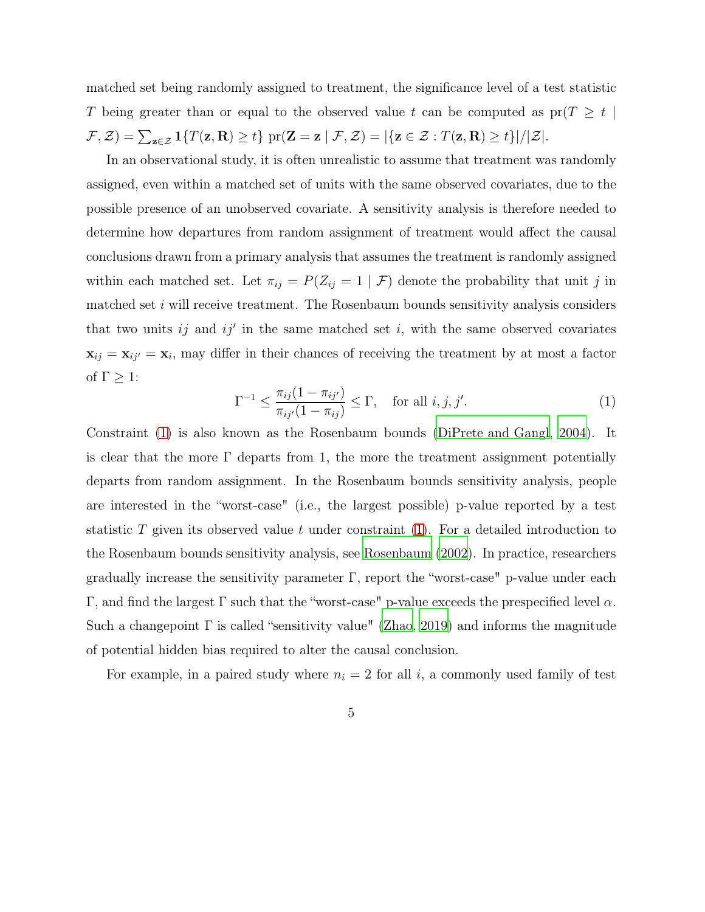matched set being randomly assigned to treatment, the significance level of a test statistic T being greater than or equal to the observed value t can be computed as  $pr(T \geq t)$  $\mathcal{F}, \mathcal{Z}$ ) =  $\sum_{\mathbf{z} \in \mathcal{Z}} \mathbf{1}\{T(\mathbf{z}, \mathbf{R}) \ge t\}$  pr $(\mathbf{Z} = \mathbf{z} \mid \mathcal{F}, \mathcal{Z}) = |\{\mathbf{z} \in \mathcal{Z} : T(\mathbf{z}, \mathbf{R}) \ge t\}|/|\mathcal{Z}|$ .

In an observational study, it is often unrealistic to assume that treatment was randomly assigned, even within a matched set of units with the same observed covariates, due to the possible presence of an unobserved covariate. A sensitivity analysis is therefore needed to determine how departures from random assignment of treatment would affect the causal conclusions drawn from a primary analysis that assumes the treatment is randomly assigned within each matched set. Let  $\pi_{ij} = P(Z_{ij} = 1 | \mathcal{F})$  denote the probability that unit j in matched set i will receive treatment. The Rosenbaum bounds sensitivity analysis considers that two units  $ij$  and  $ij'$  in the same matched set i, with the same observed covariates  $\mathbf{x}_{ij} = \mathbf{x}_{ij'} = \mathbf{x}_i$ , may differ in their chances of receiving the treatment by at most a factor of  $\Gamma \geq 1$ :

<span id="page-4-0"></span>
$$
\Gamma^{-1} \le \frac{\pi_{ij}(1 - \pi_{ij'})}{\pi_{ij'}(1 - \pi_{ij})} \le \Gamma, \quad \text{for all } i, j, j'.
$$
 (1)

Constraint [\(1\)](#page-4-0) is also known as the Rosenbaum bounds [\(DiPrete and Gangl](#page-15-2), [2004](#page-15-2)). It is clear that the more  $\Gamma$  departs from 1, the more the treatment assignment potentially departs from random assignment. In the Rosenbaum bounds sensitivity analysis, people are interested in the "worst-case" (i.e., the largest possible) p-value reported by a test statistic T given its observed value t under constraint  $(1)$ . For a detailed introduction to the Rosenbaum bounds sensitivity analysis, see [Rosenbaum \(2002](#page-18-0)). In practice, researchers gradually increase the sensitivity parameter Γ, report the "worst-case" p-value under each Γ, and find the largest Γ such that the "worst-case" p-value exceeds the prespecified level  $\alpha$ . Such a changepoint  $\Gamma$  is called "sensitivity value" [\(Zhao, 2019\)](#page-20-1) and informs the magnitude of potential hidden bias required to alter the causal conclusion.

For example, in a paired study where  $n_i = 2$  for all i, a commonly used family of test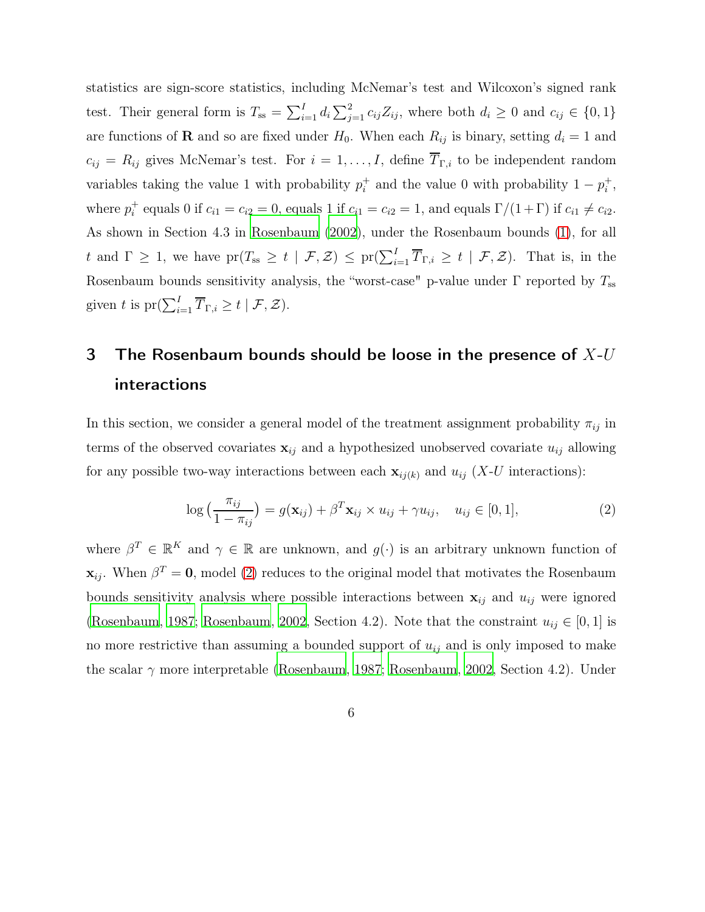statistics are sign-score statistics, including McNemar's test and Wilcoxon's signed rank test. Their general form is  $T_{ss} = \sum_{i=1}^{I} d_i \sum_{j=1}^{2} c_{ij} Z_{ij}$ , where both  $d_i \geq 0$  and  $c_{ij} \in \{0, 1\}$ are functions of **R** and so are fixed under  $H_0$ . When each  $R_{ij}$  is binary, setting  $d_i = 1$  and  $c_{ij} = R_{ij}$  gives McNemar's test. For  $i = 1, ..., I$ , define  $\overline{T}_{\Gamma,i}$  to be independent random variables taking the value 1 with probability  $p_i^+$ <sup>+</sup> and the value 0 with probability  $1 - p_i^+$  $_i^+$ , where  $p_i^+$ <sup>+</sup> equals 0 if  $c_{i1} = c_{i2} = 0$ , equals 1 if  $c_{i1} = c_{i2} = 1$ , and equals  $\Gamma/(1+\Gamma)$  if  $c_{i1} \neq c_{i2}$ . As shown in Section 4.3 in [Rosenbaum \(2002\)](#page-18-0), under the Rosenbaum bounds [\(1\)](#page-4-0), for all t and  $\Gamma \geq 1$ , we have  $pr(T_{ss} \geq t \mid \mathcal{F}, \mathcal{Z}) \leq pr(\sum_{i=1}^{I} \overline{T}_{\Gamma,i} \geq t \mid \mathcal{F}, \mathcal{Z})$ . That is, in the Rosenbaum bounds sensitivity analysis, the "worst-case" p-value under  $\Gamma$  reported by  $T_{ss}$ given t is  $\mathrm{pr}(\sum_{i=1}^I \overline{T}_{\Gamma,i} \geq t \mid \mathcal{F}, \mathcal{Z}).$ 

## 3 The Rosenbaum bounds should be loose in the presence of  $X$ - $U$ interactions

In this section, we consider a general model of the treatment assignment probability  $\pi_{ij}$  in terms of the observed covariates  $\mathbf{x}_{ij}$  and a hypothesized unobserved covariate  $u_{ij}$  allowing for any possible two-way interactions between each  $\mathbf{x}_{ij(k)}$  and  $u_{ij}$  (X-U interactions):

<span id="page-5-0"></span>
$$
\log\left(\frac{\pi_{ij}}{1-\pi_{ij}}\right) = g(\mathbf{x}_{ij}) + \beta^T \mathbf{x}_{ij} \times u_{ij} + \gamma u_{ij}, \quad u_{ij} \in [0,1],
$$
\n(2)

where  $\beta^T \in \mathbb{R}^K$  and  $\gamma \in \mathbb{R}$  are unknown, and  $g(\cdot)$  is an arbitrary unknown function of  $\mathbf{x}_{ij}$ . When  $\beta^T = \mathbf{0}$ , model [\(2\)](#page-5-0) reduces to the original model that motivates the Rosenbaum bounds sensitivity analysis where possible interactions between  $x_{ij}$  and  $u_{ij}$  were ignored [\(Rosenbaum](#page-18-2), [1987](#page-18-2); [Rosenbaum](#page-18-0), [2002,](#page-18-0) Section 4.2). Note that the constraint  $u_{ij} \in [0,1]$  is no more restrictive than assuming a bounded support of  $u_{ij}$  and is only imposed to make the scalar  $\gamma$  more interpretable [\(Rosenbaum, 1987](#page-18-2); [Rosenbaum](#page-18-0), [2002,](#page-18-0) Section 4.2). Under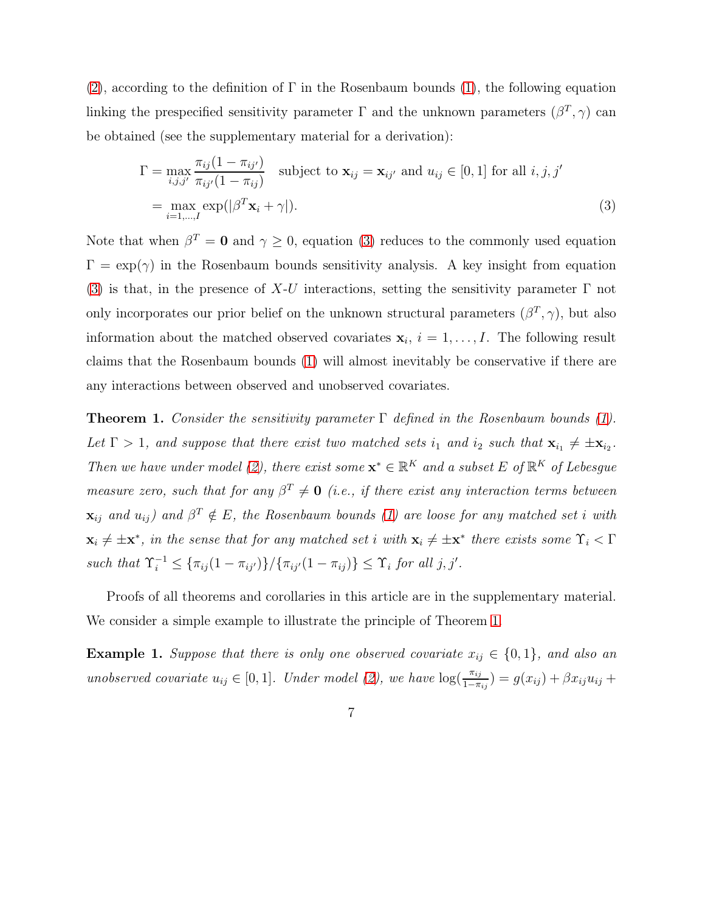[\(2\)](#page-5-0), according to the definition of  $\Gamma$  in the Rosenbaum bounds [\(1\)](#page-4-0), the following equation linking the prespecified sensitivity parameter  $\Gamma$  and the unknown parameters  $(\beta^T, \gamma)$  can be obtained (see the supplementary material for a derivation):

<span id="page-6-0"></span>
$$
\Gamma = \max_{i,j,j'} \frac{\pi_{ij}(1 - \pi_{ij'})}{\pi_{ij'}(1 - \pi_{ij})} \quad \text{subject to } \mathbf{x}_{ij} = \mathbf{x}_{ij'} \text{ and } u_{ij} \in [0, 1] \text{ for all } i, j, j' \n= \max_{i=1,\dots,I} \exp(|\beta^T \mathbf{x}_i + \gamma|).
$$
\n(3)

Note that when  $\beta^T = \mathbf{0}$  and  $\gamma \geq 0$ , equation [\(3\)](#page-6-0) reduces to the commonly used equation  $\Gamma = \exp(\gamma)$  in the Rosenbaum bounds sensitivity analysis. A key insight from equation [\(3\)](#page-6-0) is that, in the presence of X-U interactions, setting the sensitivity parameter  $\Gamma$  not only incorporates our prior belief on the unknown structural parameters  $(\beta^T, \gamma)$ , but also information about the matched observed covariates  $x_i$ ,  $i = 1, \ldots, I$ . The following result claims that the Rosenbaum bounds [\(1\)](#page-4-0) will almost inevitably be conservative if there are any interactions between observed and unobserved covariates.

<span id="page-6-1"></span>**Theorem 1.** Consider the sensitivity parameter  $\Gamma$  defined in the Rosenbaum bounds [\(1\)](#page-4-0). Let  $\Gamma > 1$ , and suppose that there exist two matched sets  $i_1$  and  $i_2$  such that  $\mathbf{x}_{i_1} \neq \pm \mathbf{x}_{i_2}$ . Then we have under model [\(2\)](#page-5-0), there exist some  $\mathbf{x}^* \in \mathbb{R}^K$  and a subset E of  $\mathbb{R}^K$  of Lebesgue measure zero, such that for any  $\beta^T \neq 0$  (i.e., if there exist any interaction terms between  $\mathbf{x}_{ij}$  and  $u_{ij}$ ) and  $\beta^T \notin E$ , the Rosenbaum bounds [\(1\)](#page-4-0) are loose for any matched set i with  $\mathbf{x}_i \neq \pm \mathbf{x}^*$ , in the sense that for any matched set i with  $\mathbf{x}_i \neq \pm \mathbf{x}^*$  there exists some  $\Upsilon_i < \Gamma$ such that  $\Upsilon_i^{-1} \leq {\{\pi_{ij}(1-\pi_{ij'})\}}/{\{\pi_{ij'}(1-\pi_{ij})\}} \leq \Upsilon_i$  for all j, j'.

Proofs of all theorems and corollaries in this article are in the supplementary material. We consider a simple example to illustrate the principle of Theorem [1.](#page-6-1)

**Example 1.** Suppose that there is only one observed covariate  $x_{ij} \in \{0,1\}$ , and also an unobserved covariate  $u_{ij} \in [0,1]$ . Under model [\(2\)](#page-5-0), we have  $\log(\frac{\pi_{ij}}{1-\pi_{ij}}) = g(x_{ij}) + \beta x_{ij} u_{ij} +$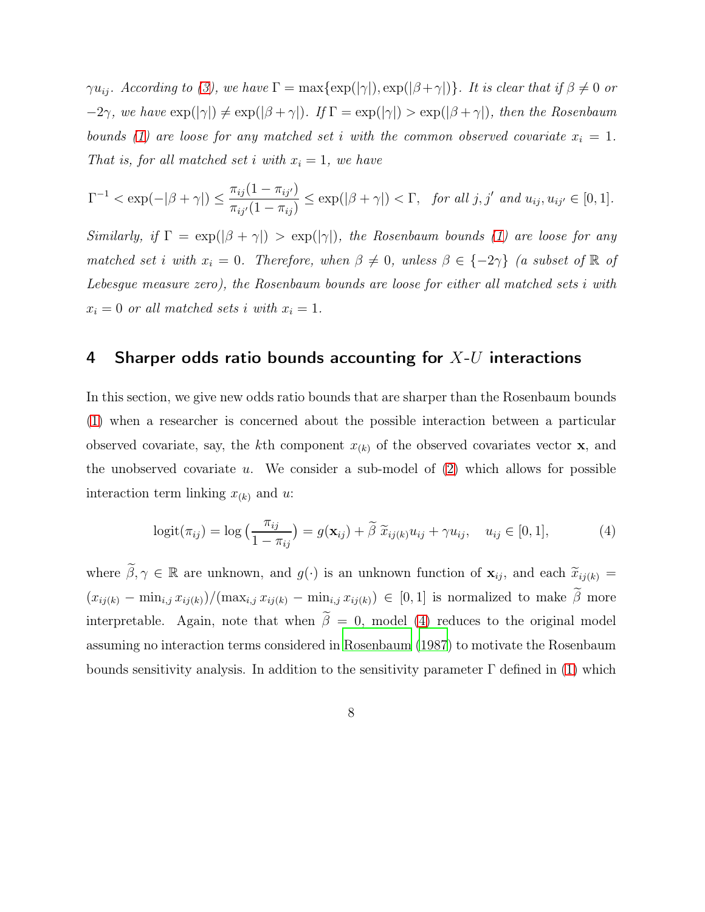$\gamma u_{ij}$ . According to [\(3\)](#page-6-0), we have  $\Gamma = \max\{\exp(|\gamma|), \exp(|\beta + \gamma|)\}\$ . It is clear that if  $\beta \neq 0$  or  $-2\gamma$ , we have  $\exp(|\gamma|) \neq \exp(|\beta + \gamma|)$ . If  $\Gamma = \exp(|\gamma|) > \exp(|\beta + \gamma|)$ , then the Rosenbaum bounds [\(1\)](#page-4-0) are loose for any matched set i with the common observed covariate  $x_i = 1$ . That is, for all matched set i with  $x_i = 1$ , we have

$$
\Gamma^{-1} < \exp(-|\beta + \gamma|) \le \frac{\pi_{ij}(1 - \pi_{ij'})}{\pi_{ij'}(1 - \pi_{ij})} \le \exp(|\beta + \gamma|) < \Gamma, \quad \text{for all } j, j' \text{ and } u_{ij}, u_{ij'} \in [0, 1].
$$

Similarly, if  $\Gamma = \exp(|\beta + \gamma|) > \exp(|\gamma|)$ , the Rosenbaum bounds [\(1\)](#page-4-0) are loose for any matched set i with  $x_i = 0$ . Therefore, when  $\beta \neq 0$ , unless  $\beta \in \{-2\gamma\}$  (a subset of  $\mathbb R$  of Lebesgue measure zero), the Rosenbaum bounds are loose for either all matched sets i with  $x_i = 0$  or all matched sets i with  $x_i = 1$ .

#### <span id="page-7-1"></span>4 Sharper odds ratio bounds accounting for  $X$ -U interactions

In this section, we give new odds ratio bounds that are sharper than the Rosenbaum bounds [\(1\)](#page-4-0) when a researcher is concerned about the possible interaction between a particular observed covariate, say, the kth component  $x_{(k)}$  of the observed covariates vector **x**, and the unobserved covariate u. We consider a sub-model of  $(2)$  which allows for possible interaction term linking  $x_{(k)}$  and u:

<span id="page-7-0"></span>
$$
logit(\pi_{ij}) = log\left(\frac{\pi_{ij}}{1 - \pi_{ij}}\right) = g(\mathbf{x}_{ij}) + \tilde{\beta} \ \tilde{x}_{ij(k)} u_{ij} + \gamma u_{ij}, \quad u_{ij} \in [0, 1],
$$
 (4)

where  $\widetilde{\beta}$ ,  $\gamma \in \mathbb{R}$  are unknown, and  $g(\cdot)$  is an unknown function of  $\mathbf{x}_{ij}$ , and each  $\widetilde{x}_{ij(k)}$  =  $(x_{ij(k)} - \min_{i,j} x_{ij(k)})/(\max_{i,j} x_{ij(k)} - \min_{i,j} x_{ij(k)}) \in [0,1]$  is normalized to make  $\tilde{\beta}$  more interpretable. Again, note that when  $\tilde{\beta} = 0$ , model [\(4\)](#page-7-0) reduces to the original model assuming no interaction terms considered in [Rosenbaum \(1987\)](#page-18-2) to motivate the Rosenbaum bounds sensitivity analysis. In addition to the sensitivity parameter  $\Gamma$  defined in [\(1\)](#page-4-0) which

8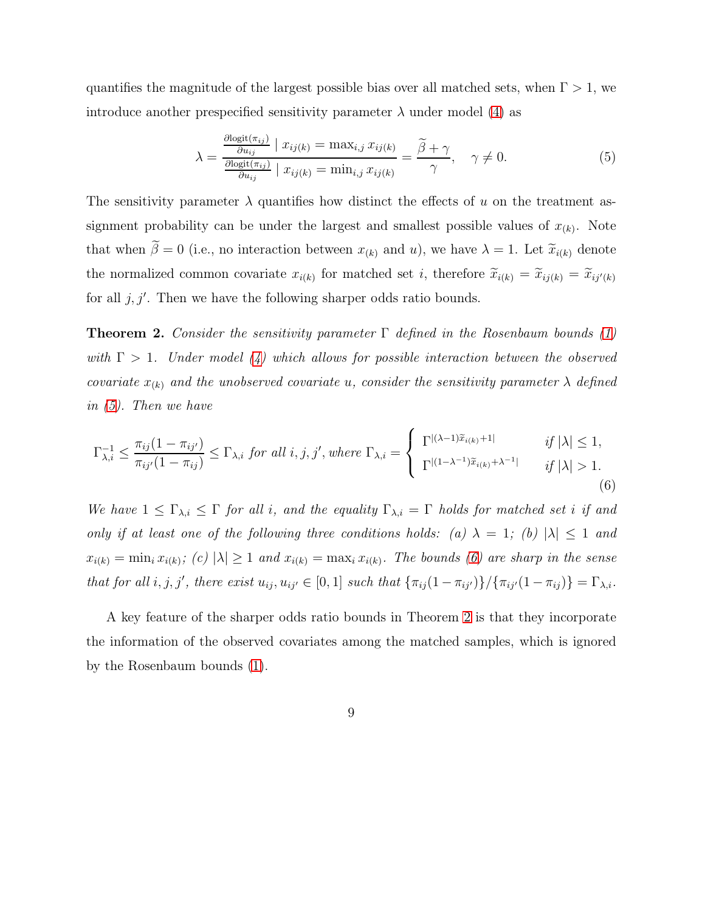quantifies the magnitude of the largest possible bias over all matched sets, when  $\Gamma > 1$ , we introduce another prespecified sensitivity parameter  $\lambda$  under model [\(4\)](#page-7-0) as

<span id="page-8-0"></span>
$$
\lambda = \frac{\frac{\partial \text{logit}(\pi_{ij})}{\partial u_{ij}} \mid x_{ij(k)} = \max_{i,j} x_{ij(k)}}{\frac{\partial \text{logit}(\pi_{ij})}{\partial u_{ij}} \mid x_{ij(k)} = \min_{i,j} x_{ij(k)}} = \frac{\tilde{\beta} + \gamma}{\gamma}, \quad \gamma \neq 0.
$$
\n(5)

The sensitivity parameter  $\lambda$  quantifies how distinct the effects of u on the treatment assignment probability can be under the largest and smallest possible values of  $x_{(k)}$ . Note that when  $\tilde{\beta} = 0$  (i.e., no interaction between  $x_{(k)}$  and u), we have  $\lambda = 1$ . Let  $\tilde{x}_{i(k)}$  denote the normalized common covariate  $x_{i(k)}$  for matched set i, therefore  $\tilde{x}_{i(k)} = \tilde{x}_{ij(k)} = \tilde{x}_{ij'(k)}$ for all  $j, j'$ . Then we have the following sharper odds ratio bounds.

<span id="page-8-2"></span>**Theorem 2.** Consider the sensitivity parameter  $\Gamma$  defined in the Rosenbaum bounds [\(1\)](#page-4-0) with  $\Gamma > 1$ . Under model [\(4\)](#page-7-0) which allows for possible interaction between the observed covariate  $x_{(k)}$  and the unobserved covariate u, consider the sensitivity parameter  $\lambda$  defined in [\(5\)](#page-8-0). Then we have

<span id="page-8-1"></span>
$$
\Gamma_{\lambda,i}^{-1} \le \frac{\pi_{ij}(1 - \pi_{ij'})}{\pi_{ij'}(1 - \pi_{ij})} \le \Gamma_{\lambda,i} \text{ for all } i, j, j', \text{ where } \Gamma_{\lambda,i} = \begin{cases} \Gamma^{|(\lambda - 1)\tilde{x}_{i(k)} + 1|} & \text{if } |\lambda| \le 1, \\ \Gamma^{|(1 - \lambda^{-1})\tilde{x}_{i(k)} + \lambda^{-1}|} & \text{if } |\lambda| > 1. \end{cases} \tag{6}
$$

We have  $1 \leq \Gamma_{\lambda,i} \leq \Gamma$  for all i, and the equality  $\Gamma_{\lambda,i} = \Gamma$  holds for matched set i if and only if at least one of the following three conditions holds: (a)  $\lambda = 1$ ; (b)  $|\lambda| \le 1$  and  $x_{i(k)} = \min_i x_{i(k)}$ ; (c)  $|\lambda| \ge 1$  and  $x_{i(k)} = \max_i x_{i(k)}$ . The bounds [\(6\)](#page-8-1) are sharp in the sense that for all  $i, j, j'$ , there exist  $u_{ij}, u_{ij'} \in [0, 1]$  such that  $\{\pi_{ij}(1 - \pi_{ij'})\}/\{\pi_{ij'}(1 - \pi_{ij})\} = \Gamma_{\lambda,i}$ .

A key feature of the sharper odds ratio bounds in Theorem [2](#page-8-2) is that they incorporate the information of the observed covariates among the matched samples, which is ignored by the Rosenbaum bounds [\(1\)](#page-4-0).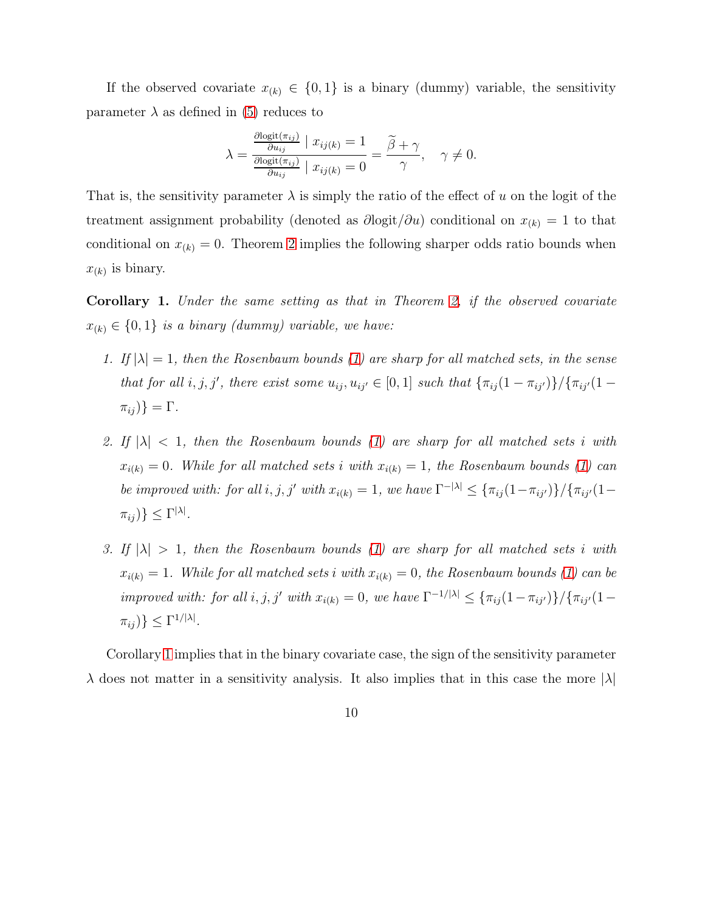If the observed covariate  $x_{(k)} \in \{0,1\}$  is a binary (dummy) variable, the sensitivity parameter  $\lambda$  as defined in [\(5\)](#page-8-0) reduces to

$$
\lambda = \frac{\frac{\partial \text{logit}(\pi_{ij})}{\partial u_{ij}} \mid x_{ij(k)} = 1}{\frac{\partial \text{logit}(\pi_{ij})}{\partial u_{ij}} \mid x_{ij(k)} = 0} = \frac{\widetilde{\beta} + \gamma}{\gamma}, \quad \gamma \neq 0.
$$

That is, the sensitivity parameter  $\lambda$  is simply the ratio of the effect of u on the logit of the treatment assignment probability (denoted as  $\partial\logit/\partial u$ ) conditional on  $x_{(k)} = 1$  to that conditional on  $x_{(k)} = 0$ . Theorem [2](#page-8-2) implies the following sharper odds ratio bounds when  $x_{(k)}$  is binary.

<span id="page-9-0"></span>Corollary 1. Under the same setting as that in Theorem [2,](#page-8-2) if the observed covariate  $x_{(k)} \in \{0,1\}$  is a binary (dummy) variable, we have:

- 1. If  $|\lambda| = 1$ , then the Rosenbaum bounds [\(1\)](#page-4-0) are sharp for all matched sets, in the sense that for all i, j, j', there exist some  $u_{ij}, u_{ij'} \in [0,1]$  such that  $\{\pi_{ij}(1-\pi_{ij'})\}/\{\pi_{ij'}(1-\pi_{ij'})\}$  $\pi_{ij}$ } =  $\Gamma$ .
- 2. If  $|\lambda|$  < 1, then the Rosenbaum bounds [\(1\)](#page-4-0) are sharp for all matched sets i with  $x_{i(k)} = 0$ . While for all matched sets i with  $x_{i(k)} = 1$ , the Rosenbaum bounds [\(1\)](#page-4-0) can be improved with: for all i, j, j' with  $x_{i(k)} = 1$ , we have  $\Gamma^{-|\lambda|} \leq {\pi_{ij}(1 - \pi_{ij'})}/ {\pi_{ij'}(1 - \pi_{ij'})}$  $\pi_{ij}$ )  $\} \leq \Gamma^{|\lambda|}$ .
- 3. If  $|\lambda| > 1$ , then the Rosenbaum bounds [\(1\)](#page-4-0) are sharp for all matched sets i with  $x_{i(k)} = 1$ . While for all matched sets i with  $x_{i(k)} = 0$ , the Rosenbaum bounds [\(1\)](#page-4-0) can be improved with: for all  $i, j, j'$  with  $x_{i(k)} = 0$ , we have  $\Gamma^{-1/|\lambda|} \leq {\pi_{ij}(1 - \pi_{ij'})}/ {\pi_{ij'}(1 - \pi_{ij'})}$  $\pi_{ij}$ )  $\leq \Gamma^{1/|\lambda|}$ .

Corollary [1](#page-9-0) implies that in the binary covariate case, the sign of the sensitivity parameter  $\lambda$  does not matter in a sensitivity analysis. It also implies that in this case the more  $|\lambda|$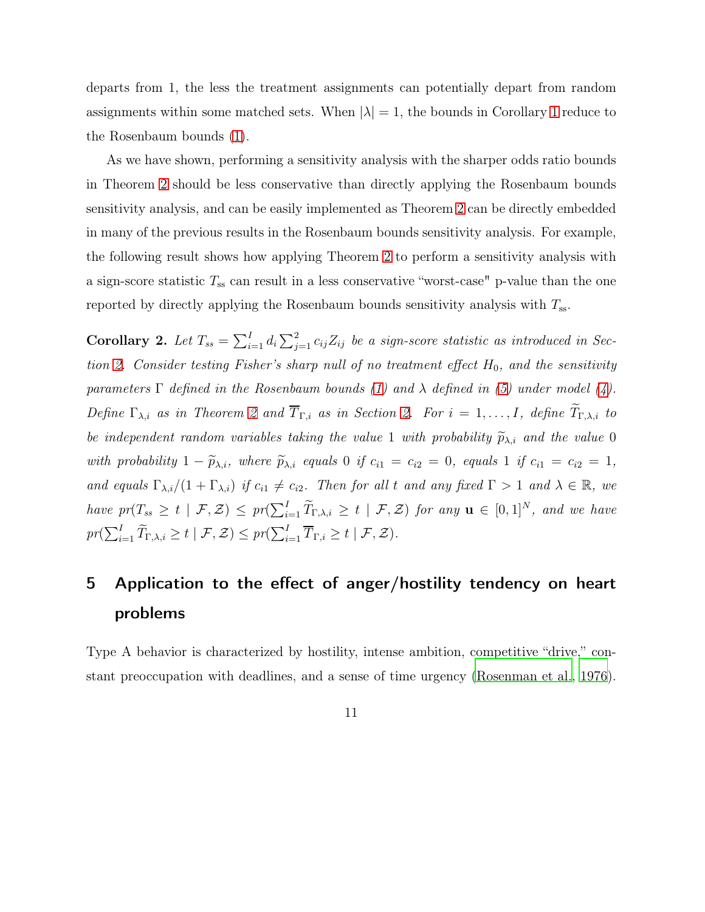departs from 1, the less the treatment assignments can potentially depart from random assignments within some matched sets. When  $|\lambda| = 1$  $|\lambda| = 1$ , the bounds in Corollary 1 reduce to the Rosenbaum bounds [\(1\)](#page-4-0).

As we have shown, performing a sensitivity analysis with the sharper odds ratio bounds in Theorem [2](#page-8-2) should be less conservative than directly applying the Rosenbaum bounds sensitivity analysis, and can be easily implemented as Theorem [2](#page-8-2) can be directly embedded in many of the previous results in the Rosenbaum bounds sensitivity analysis. For example, the following result shows how applying Theorem [2](#page-8-2) to perform a sensitivity analysis with a sign-score statistic  $T_{ss}$  can result in a less conservative "worst-case" p-value than the one reported by directly applying the Rosenbaum bounds sensitivity analysis with  $T_{ss}$ .

<span id="page-10-0"></span>Corollary 2. Let  $T_{ss} = \sum_{i=1}^{I} d_i \sum_{j=1}^{2} c_{ij} Z_{ij}$  be a sign-score statistic as introduced in Sec-tion [2.](#page-3-0) Consider testing Fisher's sharp null of no treatment effect  $H_0$ , and the sensitivity parameters  $\Gamma$  defined in the Rosenbaum bounds [\(1\)](#page-4-0) and  $\lambda$  defined in [\(5\)](#page-8-0) under model [\(4\)](#page-7-0). Define  $\Gamma_{\lambda,i}$  as in Theorem [2](#page-8-2) and  $\overline{T}_{\Gamma,i}$  as in Section [2.](#page-3-0) For  $i=1,\ldots,I$ , define  $\widetilde{T}_{\Gamma,\lambda,i}$  to be independent random variables taking the value 1 with probability  $\widetilde{p}_{\lambda,i}$  and the value 0 with probability  $1 - \widetilde{p}_{\lambda,i}$ , where  $\widetilde{p}_{\lambda,i}$  equals 0 if  $c_{i1} = c_{i2} = 0$ , equals 1 if  $c_{i1} = c_{i2} = 1$ , and equals  $\Gamma_{\lambda,i}/(1+\Gamma_{\lambda,i})$  if  $c_{i1} \neq c_{i2}$ . Then for all t and any fixed  $\Gamma > 1$  and  $\lambda \in \mathbb{R}$ , we have  $pr(T_{ss} \geq t \mid \mathcal{F}, \mathcal{Z}) \leq pr(\sum_{i=1}^{I} \widetilde{T}_{\Gamma, \lambda, i} \geq t \mid \mathcal{F}, \mathcal{Z})$  for any  $\mathbf{u} \in [0, 1]^N$ , and we have  $pr(\sum_{i=1}^{I} \widetilde{T}_{\Gamma,\lambda,i} \geq t \mid \mathcal{F}, \mathcal{Z}) \leq pr(\sum_{i=1}^{I} \overline{T}_{\Gamma,i} \geq t \mid \mathcal{F}, \mathcal{Z}).$ 

## <span id="page-10-1"></span>5 Application to the effect of anger/hostility tendency on heart problems

Type A behavior is characterized by hostility, intense ambition, competitive "drive," constant preoccupation with deadlines, and a sense of time urgency [\(Rosenman et al., 1976\)](#page-19-6).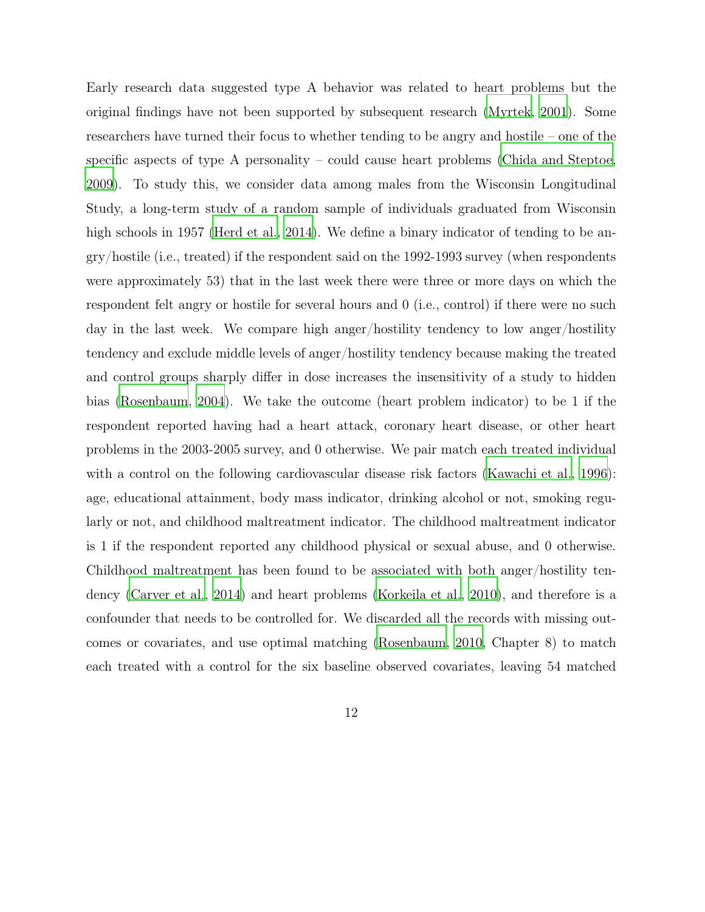Early research data suggested type A behavior was related to heart problems but the original findings have not been supported by subsequent research [\(Myrtek](#page-18-7), [2001\)](#page-18-7). Some researchers have turned their focus to whether tending to be angry and hostile – one of the specific aspects of type A personality – could cause heart problems [\(Chida and Steptoe](#page-15-3), [2009](#page-15-3)). To study this, we consider data among males from the Wisconsin Longitudinal Study, a long-term study of a random sample of individuals graduated from Wisconsin high schools in 1957 [\(Herd et al., 2014](#page-16-6)). We define a binary indicator of tending to be angry/hostile (i.e., treated) if the respondent said on the 1992-1993 survey (when respondents were approximately 53) that in the last week there were three or more days on which the respondent felt angry or hostile for several hours and 0 (i.e., control) if there were no such day in the last week. We compare high anger/hostility tendency to low anger/hostility tendency and exclude middle levels of anger/hostility tendency because making the treated and control groups sharply differ in dose increases the insensitivity of a study to hidden bias [\(Rosenbaum](#page-19-3), [2004\)](#page-19-3). We take the outcome (heart problem indicator) to be 1 if the respondent reported having had a heart attack, coronary heart disease, or other heart problems in the 2003-2005 survey, and 0 otherwise. We pair match each treated individual with a control on the following cardiovascular disease risk factors [\(Kawachi et al.](#page-17-4), [1996\)](#page-17-4): age, educational attainment, body mass indicator, drinking alcohol or not, smoking regularly or not, and childhood maltreatment indicator. The childhood maltreatment indicator is 1 if the respondent reported any childhood physical or sexual abuse, and 0 otherwise. Childhood maltreatment has been found to be associated with both anger/hostility tendency [\(Carver et al., 2014](#page-15-4)) and heart problems [\(Korkeila et al.](#page-17-5), [2010\)](#page-17-5), and therefore is a confounder that needs to be controlled for. We discarded all the records with missing outcomes or covariates, and use optimal matching [\(Rosenbaum](#page-19-1), [2010](#page-19-1), Chapter 8) to match each treated with a control for the six baseline observed covariates, leaving 54 matched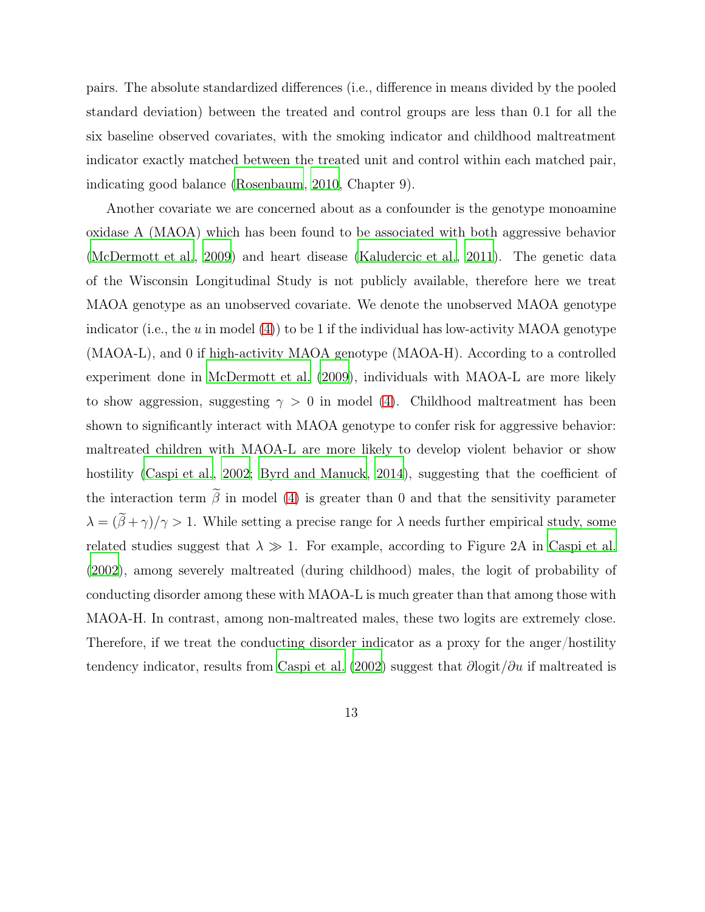pairs. The absolute standardized differences (i.e., difference in means divided by the pooled standard deviation) between the treated and control groups are less than 0.1 for all the six baseline observed covariates, with the smoking indicator and childhood maltreatment indicator exactly matched between the treated unit and control within each matched pair, indicating good balance [\(Rosenbaum, 2010,](#page-19-1) Chapter 9).

Another covariate we are concerned about as a confounder is the genotype monoamine oxidase A (MAOA) which has been found to be associated with both aggressive behavior [\(McDermott et al., 2009\)](#page-18-8) and heart disease [\(Kaludercic et al.](#page-17-6), [2011\)](#page-17-6). The genetic data of the Wisconsin Longitudinal Study is not publicly available, therefore here we treat MAOA genotype as an unobserved covariate. We denote the unobserved MAOA genotype indicator (i.e., the u in model [\(4\)](#page-7-0)) to be 1 if the individual has low-activity MAOA genotype (MAOA-L), and 0 if high-activity MAOA genotype (MAOA-H). According to a controlled experiment done in [McDermott et al. \(2009\)](#page-18-8), individuals with MAOA-L are more likely to show aggression, suggesting  $\gamma > 0$  in model [\(4\)](#page-7-0). Childhood maltreatment has been shown to significantly interact with MAOA genotype to confer risk for aggressive behavior: maltreated children with MAOA-L are more likely to develop violent behavior or show hostility [\(Caspi et al., 2002;](#page-15-1) [Byrd and Manuck](#page-15-5), [2014\)](#page-15-5), suggesting that the coefficient of the interaction term  $\tilde{\beta}$  in model [\(4\)](#page-7-0) is greater than 0 and that the sensitivity parameter  $\lambda = (\tilde{\beta} + \gamma)/\gamma > 1$ . While setting a precise range for  $\lambda$  needs further empirical study, some related studies suggest that  $\lambda \gg 1$ . For example, according to Figure 2A in [Caspi et al.](#page-15-1) [\(2002\)](#page-15-1), among severely maltreated (during childhood) males, the logit of probability of conducting disorder among these with MAOA-L is much greater than that among those with MAOA-H. In contrast, among non-maltreated males, these two logits are extremely close. Therefore, if we treat the conducting disorder indicator as a proxy for the anger/hostility tendency indicator, results from [Caspi et al. \(2002](#page-15-1)) suggest that  $\partial$ logit/ $\partial u$  if maltreated is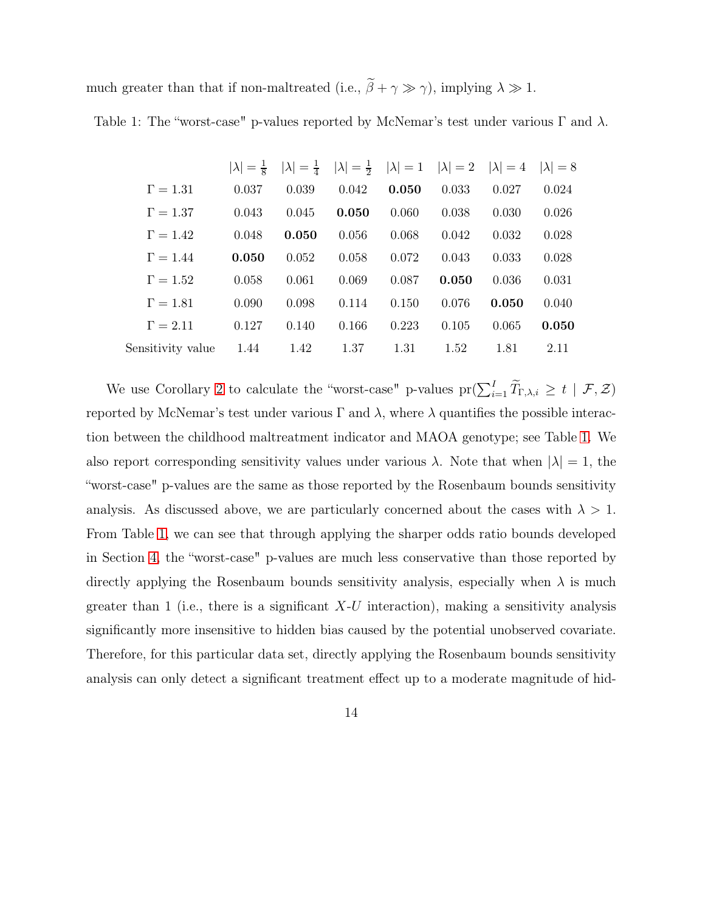<span id="page-13-0"></span>much greater than that if non-maltreated (i.e.,  $\tilde{\beta} + \gamma \gg \gamma$ ), implying  $\lambda \gg 1$ .

Table 1: The "worst-case" p-values reported by McNemar's test under various  $\Gamma$  and  $\lambda$ .

|                   | $ \lambda =\frac{1}{8}$ |       | $ \lambda  = \frac{1}{4}$ $ \lambda  = \frac{1}{2}$ | $ \lambda  = 1$ $ \lambda  = 2$ |       | $ \lambda =4$ | $ \lambda =8$ |
|-------------------|-------------------------|-------|-----------------------------------------------------|---------------------------------|-------|---------------|---------------|
| $\Gamma = 1.31$   | 0.037                   | 0.039 | 0.042                                               | 0.050                           | 0.033 | 0.027         | 0.024         |
| $\Gamma = 1.37$   | 0.043                   | 0.045 | 0.050                                               | 0.060                           | 0.038 | 0.030         | 0.026         |
| $\Gamma = 1.42$   | 0.048                   | 0.050 | 0.056                                               | 0.068                           | 0.042 | 0.032         | 0.028         |
| $\Gamma = 1.44$   | 0.050                   | 0.052 | 0.058                                               | 0.072                           | 0.043 | 0.033         | 0.028         |
| $\Gamma = 1.52$   | 0.058                   | 0.061 | 0.069                                               | 0.087                           | 0.050 | 0.036         | 0.031         |
| $\Gamma = 1.81$   | 0.090                   | 0.098 | 0.114                                               | 0.150                           | 0.076 | 0.050         | 0.040         |
| $\Gamma = 2.11$   | 0.127                   | 0.140 | 0.166                                               | 0.223                           | 0.105 | 0.065         | 0.050         |
| Sensitivity value | 1.44                    | 1.42  | 1.37                                                | 1.31                            | 1.52  | 1.81          | 2.11          |

We use Corollary [2](#page-10-0) to calculate the "worst-case" p-values  $\text{pr}(\sum_{i=1}^{I} \widetilde{T}_{\Gamma,\lambda,i} \geq t \mid \mathcal{F}, \mathcal{Z})$ reported by McNemar's test under various  $\Gamma$  and  $\lambda$ , where  $\lambda$  quantifies the possible interaction between the childhood maltreatment indicator and MAOA genotype; see Table [1.](#page-13-0) We also report corresponding sensitivity values under various  $\lambda$ . Note that when  $|\lambda| = 1$ , the "worst-case" p-values are the same as those reported by the Rosenbaum bounds sensitivity analysis. As discussed above, we are particularly concerned about the cases with  $\lambda > 1$ . From Table [1,](#page-13-0) we can see that through applying the sharper odds ratio bounds developed in Section [4,](#page-7-1) the "worst-case" p-values are much less conservative than those reported by directly applying the Rosenbaum bounds sensitivity analysis, especially when  $\lambda$  is much greater than 1 (i.e., there is a significant  $X-U$  interaction), making a sensitivity analysis significantly more insensitive to hidden bias caused by the potential unobserved covariate. Therefore, for this particular data set, directly applying the Rosenbaum bounds sensitivity analysis can only detect a significant treatment effect up to a moderate magnitude of hid-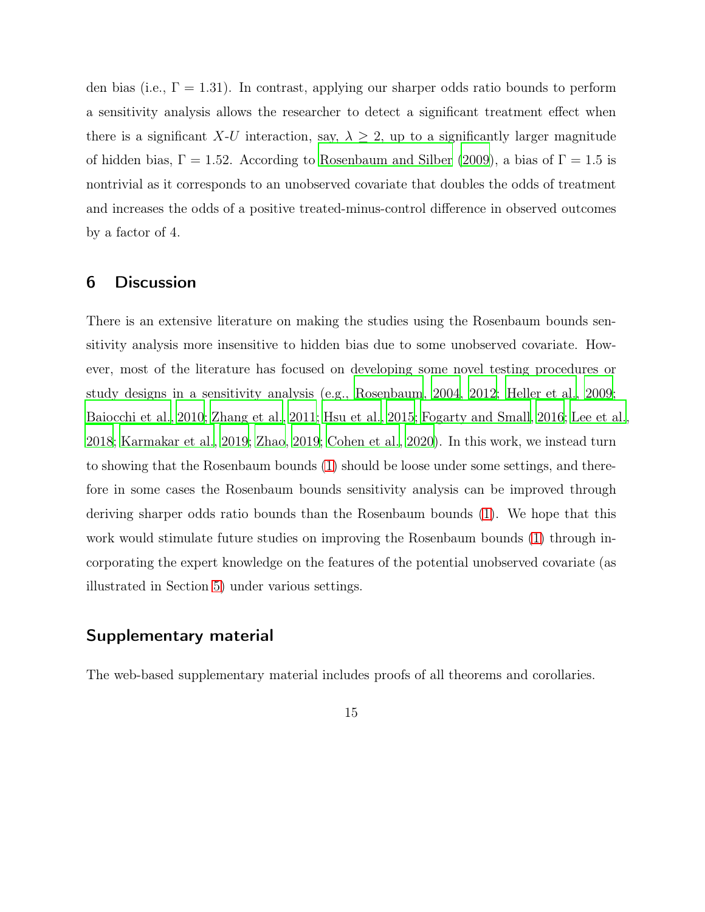den bias (i.e.,  $\Gamma = 1.31$ ). In contrast, applying our sharper odds ratio bounds to perform a sensitivity analysis allows the researcher to detect a significant treatment effect when there is a significant X-U interaction, say,  $\lambda \geq 2$ , up to a significantly larger magnitude of hidden bias,  $\Gamma = 1.52$ . According to [Rosenbaum and Silber \(2009](#page-19-4)), a bias of  $\Gamma = 1.5$  is nontrivial as it corresponds to an unobserved covariate that doubles the odds of treatment and increases the odds of a positive treated-minus-control difference in observed outcomes by a factor of 4.

## 6 Discussion

There is an extensive literature on making the studies using the Rosenbaum bounds sensitivity analysis more insensitive to hidden bias due to some unobserved covariate. However, most of the literature has focused on developing some novel testing procedures or study designs in a sensitivity analysis (e.g., [Rosenbaum, 2004,](#page-19-3) [2012](#page-19-7); [Heller et al.](#page-16-1), [2009](#page-16-1); [Baiocchi et al.](#page-15-6), [2010](#page-15-6); [Zhang et al., 2011;](#page-19-8) [Hsu et al., 2015](#page-17-0); [Fogarty and Small, 2016](#page-16-7); [Lee et al.,](#page-17-7) [2018](#page-17-7); [Karmakar et al., 2019;](#page-17-2) [Zhao, 2019;](#page-20-1) [Cohen et al., 2020\)](#page-15-7). In this work, we instead turn to showing that the Rosenbaum bounds [\(1\)](#page-4-0) should be loose under some settings, and therefore in some cases the Rosenbaum bounds sensitivity analysis can be improved through deriving sharper odds ratio bounds than the Rosenbaum bounds [\(1\)](#page-4-0). We hope that this work would stimulate future studies on improving the Rosenbaum bounds [\(1\)](#page-4-0) through incorporating the expert knowledge on the features of the potential unobserved covariate (as illustrated in Section [5\)](#page-10-1) under various settings.

### Supplementary material

The web-based supplementary material includes proofs of all theorems and corollaries.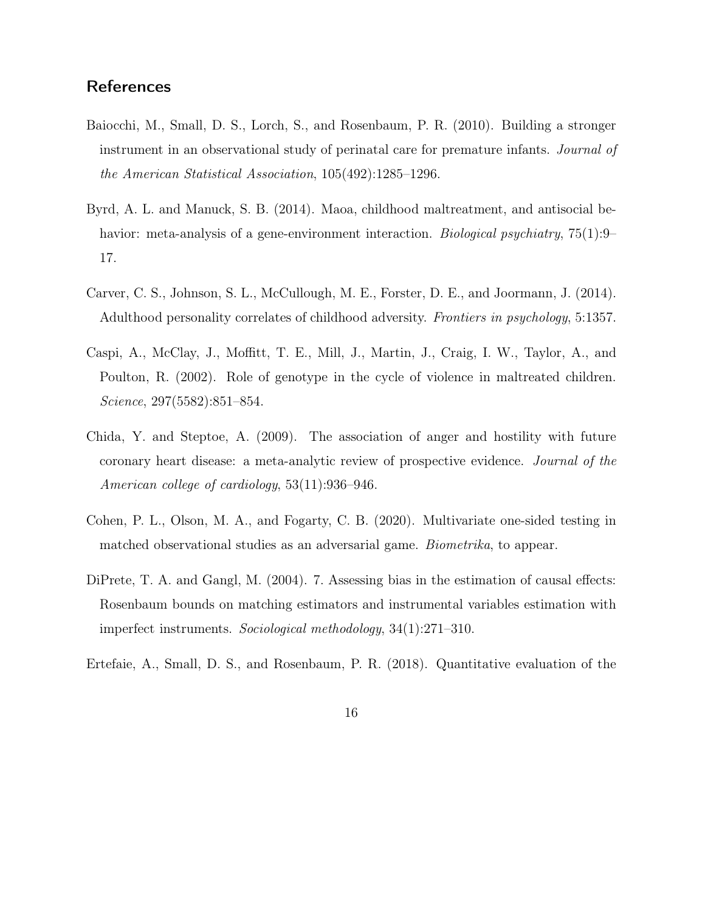## **References**

- <span id="page-15-6"></span>Baiocchi, M., Small, D. S., Lorch, S., and Rosenbaum, P. R. (2010). Building a stronger instrument in an observational study of perinatal care for premature infants. Journal of the American Statistical Association, 105(492):1285–1296.
- <span id="page-15-5"></span>Byrd, A. L. and Manuck, S. B. (2014). Maoa, childhood maltreatment, and antisocial behavior: meta-analysis of a gene-environment interaction. *Biological psychiatry*, 75(1):9– 17.
- <span id="page-15-4"></span>Carver, C. S., Johnson, S. L., McCullough, M. E., Forster, D. E., and Joormann, J. (2014). Adulthood personality correlates of childhood adversity. Frontiers in psychology, 5:1357.
- <span id="page-15-1"></span>Caspi, A., McClay, J., Moffitt, T. E., Mill, J., Martin, J., Craig, I. W., Taylor, A., and Poulton, R. (2002). Role of genotype in the cycle of violence in maltreated children. Science, 297(5582):851–854.
- <span id="page-15-3"></span>Chida, Y. and Steptoe, A. (2009). The association of anger and hostility with future coronary heart disease: a meta-analytic review of prospective evidence. Journal of the American college of cardiology, 53(11):936–946.
- <span id="page-15-7"></span>Cohen, P. L., Olson, M. A., and Fogarty, C. B. (2020). Multivariate one-sided testing in matched observational studies as an adversarial game. Biometrika, to appear.
- <span id="page-15-2"></span>DiPrete, T. A. and Gangl, M. (2004). 7. Assessing bias in the estimation of causal effects: Rosenbaum bounds on matching estimators and instrumental variables estimation with imperfect instruments. Sociological methodology, 34(1):271–310.
- <span id="page-15-0"></span>Ertefaie, A., Small, D. S., and Rosenbaum, P. R. (2018). Quantitative evaluation of the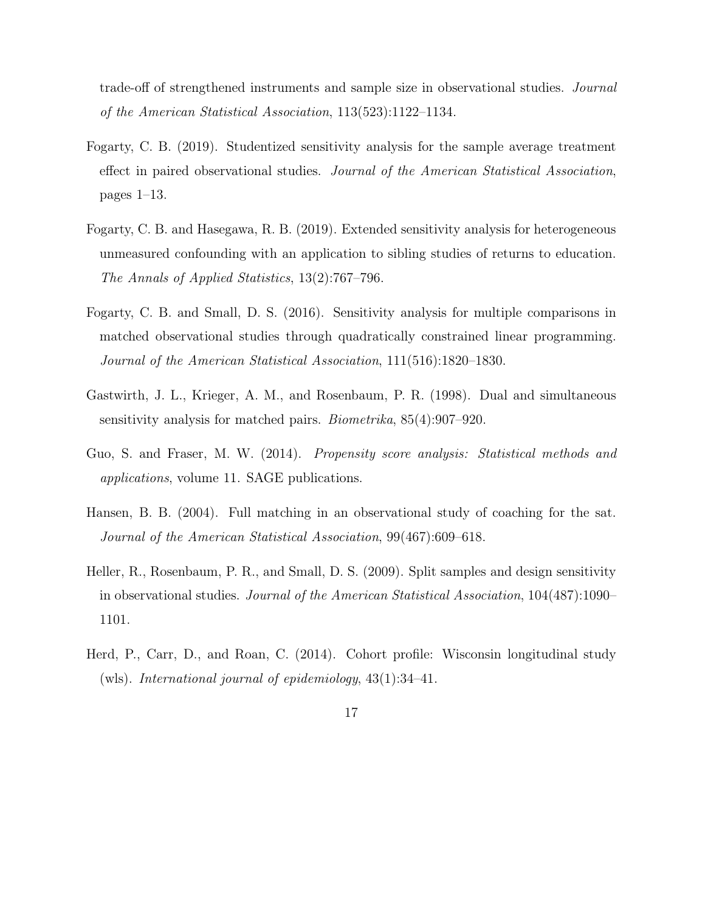trade-off of strengthened instruments and sample size in observational studies. Journal of the American Statistical Association, 113(523):1122–1134.

- <span id="page-16-3"></span>Fogarty, C. B. (2019). Studentized sensitivity analysis for the sample average treatment effect in paired observational studies. Journal of the American Statistical Association, pages 1–13.
- <span id="page-16-5"></span>Fogarty, C. B. and Hasegawa, R. B. (2019). Extended sensitivity analysis for heterogeneous unmeasured confounding with an application to sibling studies of returns to education. The Annals of Applied Statistics, 13(2):767–796.
- <span id="page-16-7"></span>Fogarty, C. B. and Small, D. S. (2016). Sensitivity analysis for multiple comparisons in matched observational studies through quadratically constrained linear programming. Journal of the American Statistical Association, 111(516):1820–1830.
- <span id="page-16-4"></span>Gastwirth, J. L., Krieger, A. M., and Rosenbaum, P. R. (1998). Dual and simultaneous sensitivity analysis for matched pairs. Biometrika, 85(4):907–920.
- <span id="page-16-2"></span>Guo, S. and Fraser, M. W. (2014). Propensity score analysis: Statistical methods and applications, volume 11. SAGE publications.
- <span id="page-16-0"></span>Hansen, B. B. (2004). Full matching in an observational study of coaching for the sat. Journal of the American Statistical Association, 99(467):609–618.
- <span id="page-16-1"></span>Heller, R., Rosenbaum, P. R., and Small, D. S. (2009). Split samples and design sensitivity in observational studies. Journal of the American Statistical Association, 104(487):1090– 1101.
- <span id="page-16-6"></span>Herd, P., Carr, D., and Roan, C. (2014). Cohort profile: Wisconsin longitudinal study (wls). International journal of epidemiology,  $43(1):34-41$ .
	- 17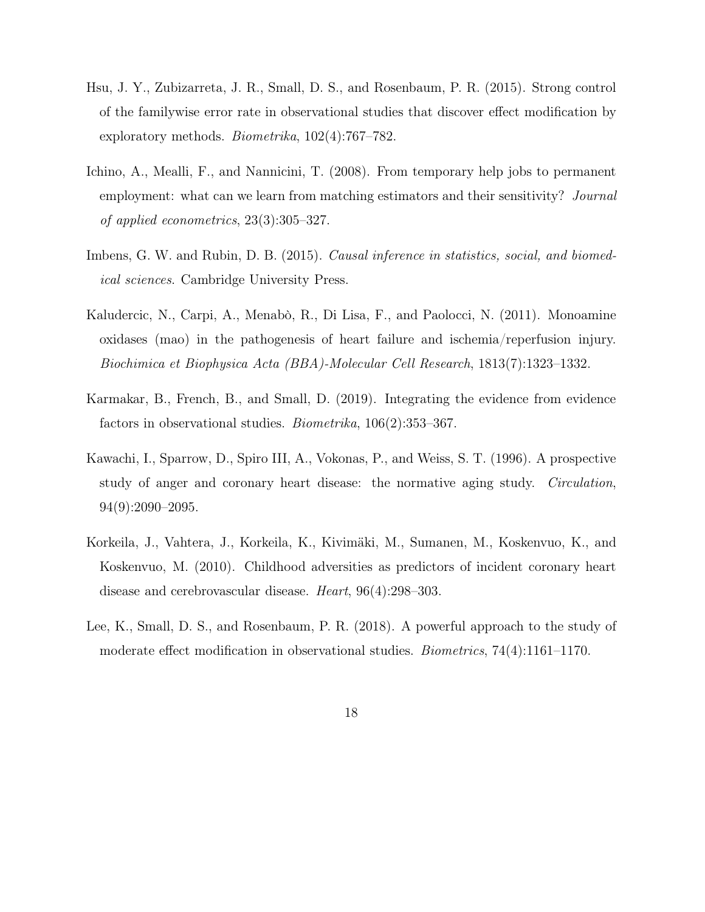- <span id="page-17-0"></span>Hsu, J. Y., Zubizarreta, J. R., Small, D. S., and Rosenbaum, P. R. (2015). Strong control of the familywise error rate in observational studies that discover effect modification by exploratory methods. Biometrika, 102(4):767–782.
- <span id="page-17-3"></span>Ichino, A., Mealli, F., and Nannicini, T. (2008). From temporary help jobs to permanent employment: what can we learn from matching estimators and their sensitivity? *Journal* of applied econometrics, 23(3):305–327.
- <span id="page-17-1"></span>Imbens, G. W. and Rubin, D. B. (2015). Causal inference in statistics, social, and biomedical sciences. Cambridge University Press.
- <span id="page-17-6"></span>Kaludercic, N., Carpi, A., Menabò, R., Di Lisa, F., and Paolocci, N. (2011). Monoamine oxidases (mao) in the pathogenesis of heart failure and ischemia/reperfusion injury. Biochimica et Biophysica Acta (BBA)-Molecular Cell Research, 1813(7):1323–1332.
- <span id="page-17-2"></span>Karmakar, B., French, B., and Small, D. (2019). Integrating the evidence from evidence factors in observational studies. Biometrika, 106(2):353–367.
- <span id="page-17-4"></span>Kawachi, I., Sparrow, D., Spiro III, A., Vokonas, P., and Weiss, S. T. (1996). A prospective study of anger and coronary heart disease: the normative aging study. Circulation, 94(9):2090–2095.
- <span id="page-17-5"></span>Korkeila, J., Vahtera, J., Korkeila, K., Kivimäki, M., Sumanen, M., Koskenvuo, K., and Koskenvuo, M. (2010). Childhood adversities as predictors of incident coronary heart disease and cerebrovascular disease. Heart, 96(4):298–303.
- <span id="page-17-7"></span>Lee, K., Small, D. S., and Rosenbaum, P. R. (2018). A powerful approach to the study of moderate effect modification in observational studies. Biometrics, 74(4):1161–1170.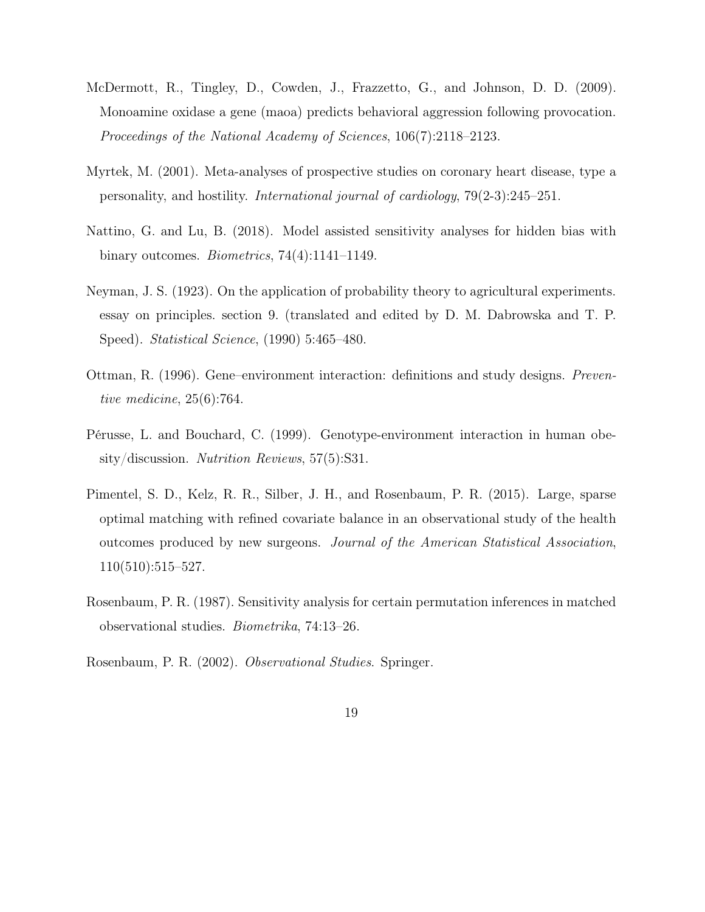- <span id="page-18-8"></span>McDermott, R., Tingley, D., Cowden, J., Frazzetto, G., and Johnson, D. D. (2009). Monoamine oxidase a gene (maoa) predicts behavioral aggression following provocation. Proceedings of the National Academy of Sciences, 106(7):2118–2123.
- <span id="page-18-7"></span>Myrtek, M. (2001). Meta-analyses of prospective studies on coronary heart disease, type a personality, and hostility. International journal of cardiology, 79(2-3):245–251.
- <span id="page-18-3"></span>Nattino, G. and Lu, B. (2018). Model assisted sensitivity analyses for hidden bias with binary outcomes. Biometrics, 74(4):1141–1149.
- <span id="page-18-6"></span>Neyman, J. S. (1923). On the application of probability theory to agricultural experiments. essay on principles. section 9. (translated and edited by D. M. Dabrowska and T. P. Speed). Statistical Science, (1990) 5:465–480.
- <span id="page-18-4"></span>Ottman, R. (1996). Gene–environment interaction: definitions and study designs. Preventive medicine, 25(6):764.
- <span id="page-18-5"></span>Pérusse, L. and Bouchard, C. (1999). Genotype-environment interaction in human obesity/discussion. Nutrition Reviews, 57(5):S31.
- <span id="page-18-1"></span>Pimentel, S. D., Kelz, R. R., Silber, J. H., and Rosenbaum, P. R. (2015). Large, sparse optimal matching with refined covariate balance in an observational study of the health outcomes produced by new surgeons. Journal of the American Statistical Association, 110(510):515–527.
- <span id="page-18-2"></span>Rosenbaum, P. R. (1987). Sensitivity analysis for certain permutation inferences in matched observational studies. Biometrika, 74:13–26.
- <span id="page-18-0"></span>Rosenbaum, P. R. (2002). Observational Studies. Springer.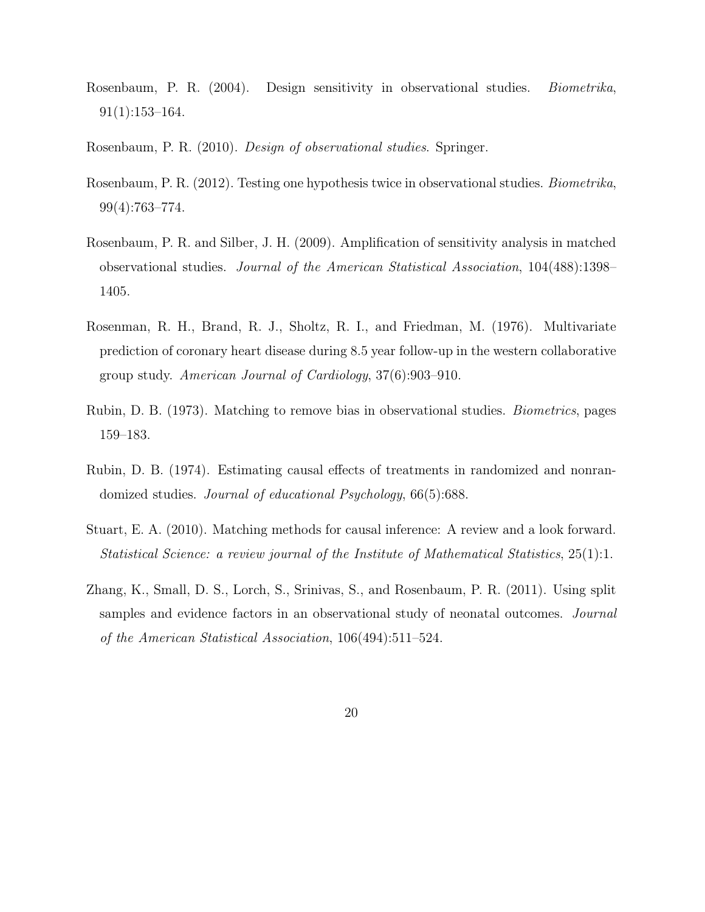- <span id="page-19-3"></span>Rosenbaum, P. R. (2004). Design sensitivity in observational studies. Biometrika, 91(1):153–164.
- <span id="page-19-1"></span>Rosenbaum, P. R. (2010). Design of observational studies. Springer.
- <span id="page-19-7"></span>Rosenbaum, P. R. (2012). Testing one hypothesis twice in observational studies. Biometrika, 99(4):763–774.
- <span id="page-19-4"></span>Rosenbaum, P. R. and Silber, J. H. (2009). Amplification of sensitivity analysis in matched observational studies. Journal of the American Statistical Association, 104(488):1398– 1405.
- <span id="page-19-6"></span>Rosenman, R. H., Brand, R. J., Sholtz, R. I., and Friedman, M. (1976). Multivariate prediction of coronary heart disease during 8.5 year follow-up in the western collaborative group study. American Journal of Cardiology, 37(6):903–910.
- <span id="page-19-0"></span>Rubin, D. B. (1973). Matching to remove bias in observational studies. Biometrics, pages 159–183.
- <span id="page-19-5"></span>Rubin, D. B. (1974). Estimating causal effects of treatments in randomized and nonrandomized studies. Journal of educational Psychology, 66(5):688.
- <span id="page-19-2"></span>Stuart, E. A. (2010). Matching methods for causal inference: A review and a look forward. Statistical Science: a review journal of the Institute of Mathematical Statistics, 25(1):1.
- <span id="page-19-8"></span>Zhang, K., Small, D. S., Lorch, S., Srinivas, S., and Rosenbaum, P. R. (2011). Using split samples and evidence factors in an observational study of neonatal outcomes. *Journal* of the American Statistical Association, 106(494):511–524.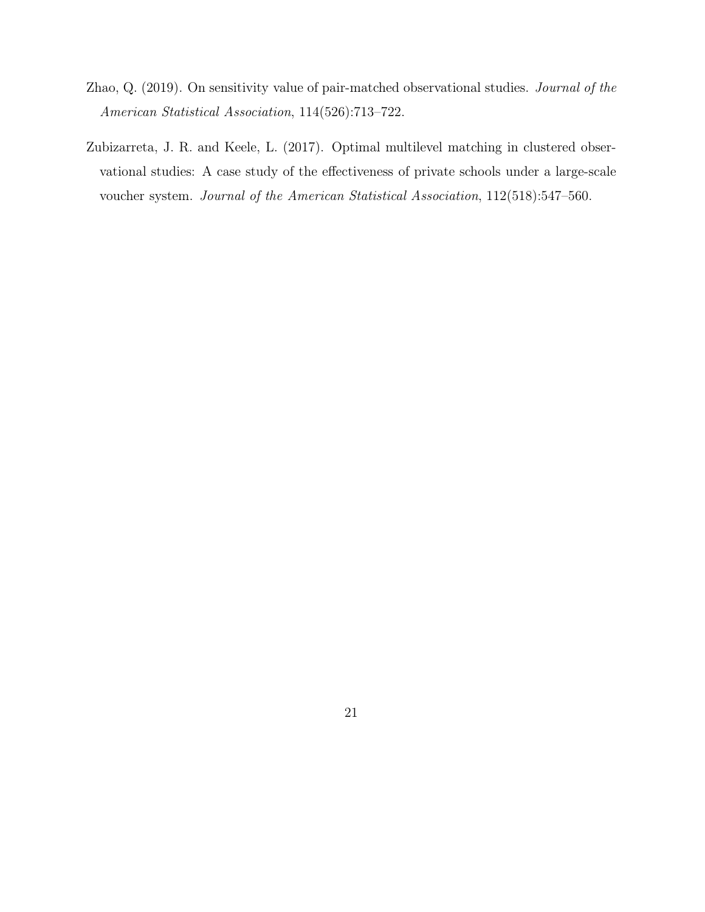- <span id="page-20-1"></span>Zhao, Q. (2019). On sensitivity value of pair-matched observational studies. Journal of the American Statistical Association, 114(526):713–722.
- <span id="page-20-0"></span>Zubizarreta, J. R. and Keele, L. (2017). Optimal multilevel matching in clustered observational studies: A case study of the effectiveness of private schools under a large-scale voucher system. Journal of the American Statistical Association, 112(518):547–560.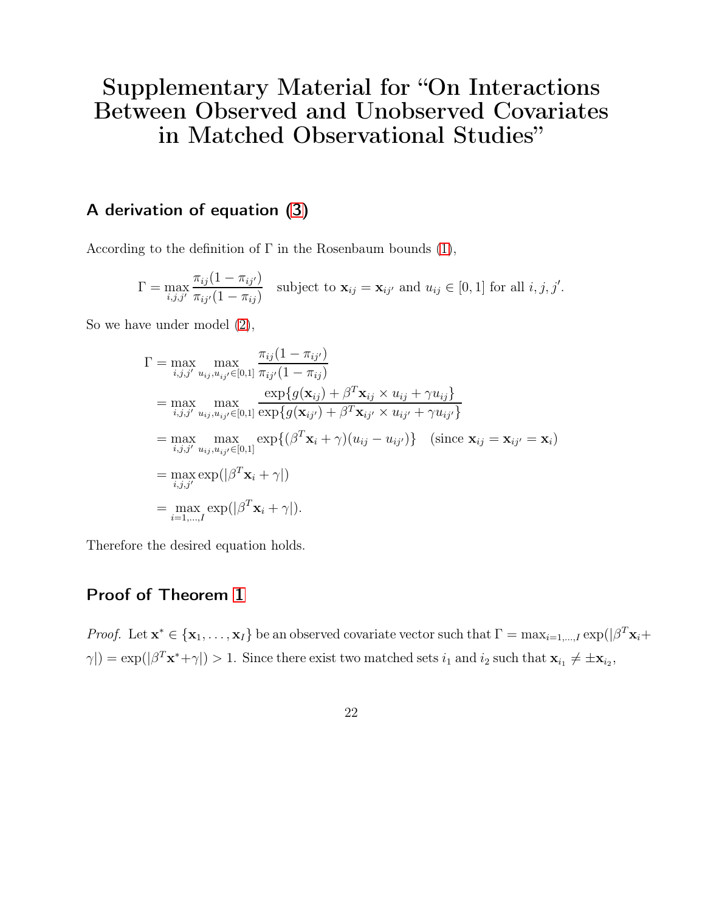## Supplementary Material for "On Interactions Between Observed and Unobserved Covariates in Matched Observational Studies"

## A derivation of equation [\(3\)](#page-6-0)

According to the definition of  $\Gamma$  in the Rosenbaum bounds [\(1\)](#page-4-0),

$$
\Gamma = \max_{i,j,j'} \frac{\pi_{ij}(1 - \pi_{ij'})}{\pi_{ij'}(1 - \pi_{ij})}
$$
 subject to  $\mathbf{x}_{ij} = \mathbf{x}_{ij'}$  and  $u_{ij} \in [0,1]$  for all  $i, j, j'.$ 

So we have under model [\(2\)](#page-5-0),

$$
\Gamma = \max_{i,j,j'} \max_{u_{ij}, u_{ij'} \in [0,1]} \frac{\pi_{ij}(1 - \pi_{ij'})}{\pi_{ij'}(1 - \pi_{ij})}
$$
\n
$$
= \max_{i,j,j'} \max_{u_{ij}, u_{ij'} \in [0,1]} \frac{\exp\{g(\mathbf{x}_{ij}) + \beta^T \mathbf{x}_{ij} \times u_{ij} + \gamma u_{ij}\}}{\exp\{g(\mathbf{x}_{ij'}) + \beta^T \mathbf{x}_{ij'} \times u_{ij'} + \gamma u_{ij'}\}}
$$
\n
$$
= \max_{i,j,j'} \max_{u_{ij}, u_{ij'} \in [0,1]} \exp\{(\beta^T \mathbf{x}_i + \gamma)(u_{ij} - u_{ij'})\} \quad \text{(since } \mathbf{x}_{ij} = \mathbf{x}_{ij'} = \mathbf{x}_i\}
$$
\n
$$
= \max_{i,j,j'} \exp(|\beta^T \mathbf{x}_i + \gamma|)
$$
\n
$$
= \max_{i=1,\dots,I} \exp(|\beta^T \mathbf{x}_i + \gamma|).
$$

Therefore the desired equation holds.

### Proof of Theorem [1](#page-6-1)

*Proof.* Let  $\mathbf{x}^* \in \{\mathbf{x}_1, \dots, \mathbf{x}_I\}$  be an observed covariate vector such that  $\Gamma = \max_{i=1,\dots,I} \exp(|\beta^T \mathbf{x}_i + \beta^T \mathbf{x}_i|^2)$  $\gamma$ |) = exp(| $\beta^T \mathbf{x}^* + \gamma$ |) > 1. Since there exist two matched sets  $i_1$  and  $i_2$  such that  $\mathbf{x}_{i_1} \neq \pm \mathbf{x}_{i_2}$ ,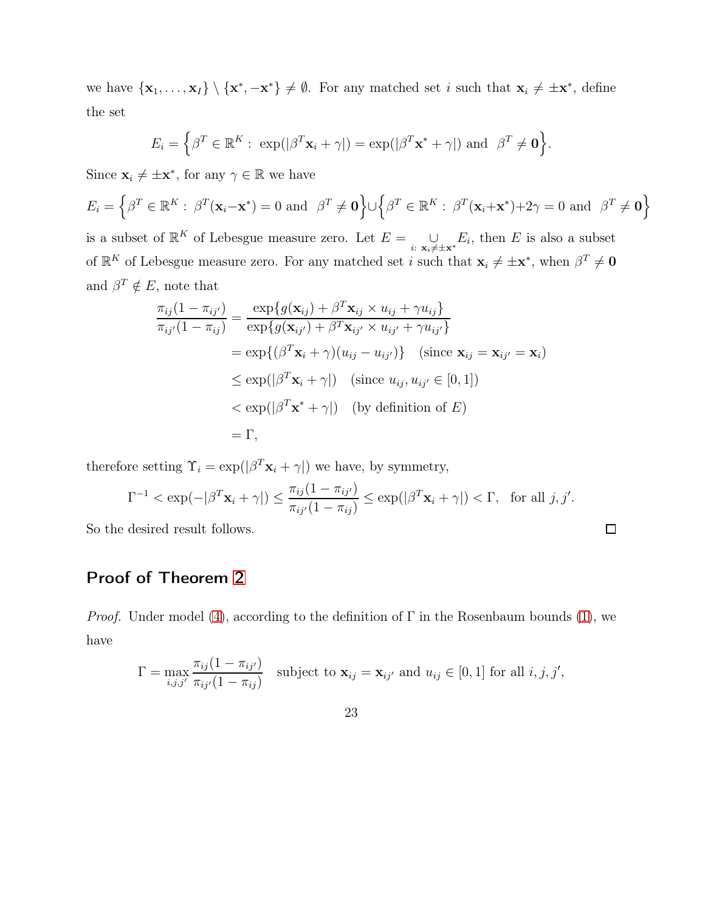we have  $\{x_1, \ldots, x_I\} \setminus \{x^*, -x^*\} \neq \emptyset$ . For any matched set i such that  $x_i \neq \pm x^*$ , define the set

$$
E_i = \left\{ \beta^T \in \mathbb{R}^K : \exp(|\beta^T \mathbf{x}_i + \gamma|) = \exp(|\beta^T \mathbf{x}^* + \gamma|) \text{ and } \beta^T \neq \mathbf{0} \right\}.
$$

Since  $\mathbf{x}_i \neq \pm \mathbf{x}^*$ , for any  $\gamma \in \mathbb{R}$  we have

$$
E_i = \left\{ \beta^T \in \mathbb{R}^K : \ \beta^T(\mathbf{x}_i - \mathbf{x}^*) = 0 \ \text{and} \ \ \beta^T \neq \mathbf{0} \right\} \cup \left\{ \beta^T \in \mathbb{R}^K : \ \beta^T(\mathbf{x}_i + \mathbf{x}^*) + 2\gamma = 0 \ \text{and} \ \ \beta^T \neq \mathbf{0} \right\}
$$

is a subset of  $\mathbb{R}^K$  of Lebesgue measure zero. Let  $E = \bigcup_{i:\; \mathbf{x}_i \neq \pm \mathbf{x}^*} E_i$ , then E is also a subset of  $\mathbb{R}^K$  of Lebesgue measure zero. For any matched set *i* such that  $\mathbf{x}_i \neq \pm \mathbf{x}^*$ , when  $\beta^T \neq \mathbf{0}$ and  $\beta^T \notin E$ , note that

$$
\frac{\pi_{ij}(1-\pi_{ij'})}{\pi_{ij'}(1-\pi_{ij})} = \frac{\exp\{g(\mathbf{x}_{ij}) + \beta^T \mathbf{x}_{ij} \times u_{ij} + \gamma u_{ij}\}}{\exp\{g(\mathbf{x}_{ij'}) + \beta^T \mathbf{x}_{ij'} \times u_{ij'} + \gamma u_{ij'}\}}
$$
\n
$$
= \exp\{(\beta^T \mathbf{x}_i + \gamma)(u_{ij} - u_{ij'})\} \quad (\text{since } \mathbf{x}_{ij} = \mathbf{x}_{ij'} = \mathbf{x}_i)
$$
\n
$$
\leq \exp(|\beta^T \mathbf{x}_i + \gamma|) \quad (\text{since } u_{ij}, u_{ij'} \in [0, 1])
$$
\n
$$
< \exp(|\beta^T \mathbf{x}^* + \gamma|) \quad (\text{by definition of } E)
$$
\n
$$
= \Gamma,
$$

therefore setting  $\Upsilon_i = \exp(|\beta^T \mathbf{x}_i + \gamma|)$  we have, by symmetry,

$$
\Gamma^{-1} < \exp(-|\beta^T \mathbf{x}_i + \gamma|) \le \frac{\pi_{ij}(1 - \pi_{ij'})}{\pi_{ij'}(1 - \pi_{ij})} \le \exp(|\beta^T \mathbf{x}_i + \gamma|) < \Gamma, \text{ for all } j, j'.
$$
\ndesired result follows.

So the desired result follows.

## Proof of Theorem [2](#page-8-2)

*Proof.* Under model [\(4\)](#page-7-0), according to the definition of  $\Gamma$  in the Rosenbaum bounds [\(1\)](#page-4-0), we have

$$
\Gamma = \max_{i,j,j'} \frac{\pi_{ij}(1 - \pi_{ij'})}{\pi_{ij'}(1 - \pi_{ij})}
$$
 subject to  $\mathbf{x}_{ij} = \mathbf{x}_{ij'}$  and  $u_{ij} \in [0,1]$  for all  $i, j, j',$ 

23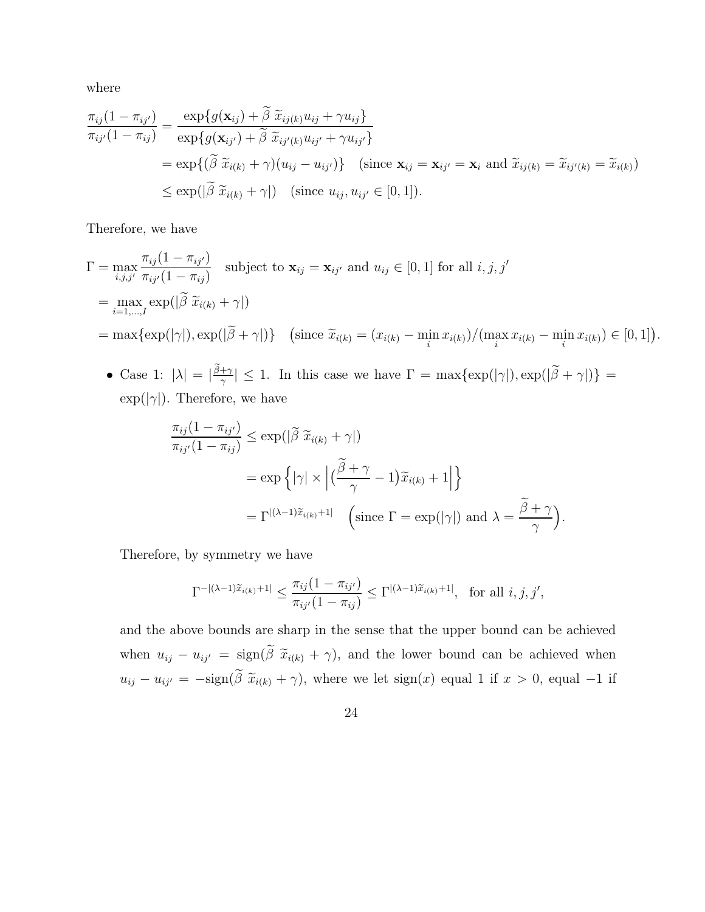where

$$
\frac{\pi_{ij}(1-\pi_{ij'})}{\pi_{ij'}(1-\pi_{ij})} = \frac{\exp\{g(\mathbf{x}_{ij}) + \tilde{\beta} \tilde{x}_{ij(k)} u_{ij} + \gamma u_{ij}\}}{\exp\{g(\mathbf{x}_{ij'}) + \tilde{\beta} \tilde{x}_{ij'(k)} u_{ij'} + \gamma u_{ij'}\}}
$$
\n
$$
= \exp\{(\tilde{\beta} \tilde{x}_{i(k)} + \gamma)(u_{ij} - u_{ij'})\} \quad \text{(since } \mathbf{x}_{ij} = \mathbf{x}_{ij'} = \mathbf{x}_i \text{ and } \tilde{x}_{ij(k)} = \tilde{x}_{ij'(k)} = \tilde{x}_{i(k)})
$$
\n
$$
\leq \exp(|\tilde{\beta} \tilde{x}_{i(k)} + \gamma|) \quad \text{(since } u_{ij}, u_{ij'} \in [0, 1]).
$$

Therefore, we have

$$
\Gamma = \max_{i,j,j'} \frac{\pi_{ij}(1 - \pi_{ij'})}{\pi_{ij'}(1 - \pi_{ij})} \quad \text{subject to } \mathbf{x}_{ij} = \mathbf{x}_{ij'} \text{ and } u_{ij} \in [0, 1] \text{ for all } i, j, j'
$$
\n
$$
= \max_{i=1,\dots,I} \exp(|\widetilde{\beta} \ \widetilde{x}_{i(k)} + \gamma|)
$$
\n
$$
= \max \{ \exp(|\gamma|), \exp(|\widetilde{\beta} + \gamma|) \} \quad \left(\text{since } \widetilde{x}_{i(k)} = (x_{i(k)} - \min_i x_{i(k)}) / (\max_i x_{i(k)} - \min_i x_{i(k)}) \in [0, 1] \right).
$$

• Case 1:  $|\lambda| = |\frac{\tilde{\beta} + \gamma}{\gamma}|$  $|\frac{+\gamma}{\gamma}| \leq 1$ . In this case we have  $\Gamma = \max\{\exp(|\gamma|), \exp(|\beta + \gamma|)\}$  $\exp(|\gamma|)$ . Therefore, we have

$$
\frac{\pi_{ij}(1 - \pi_{ij'})}{\pi_{ij'}(1 - \pi_{ij})} \le \exp(|\widetilde{\beta}| \widetilde{x}_{i(k)} + \gamma|)
$$
  
=  $\exp\left\{ |\gamma| \times |(\frac{\widetilde{\beta} + \gamma}{\gamma} - 1) \widetilde{x}_{i(k)} + 1| \right\}$   
=  $\Gamma^{|(\lambda - 1)\widetilde{x}_{i(k)} + 1|}$  (since  $\Gamma = \exp(|\gamma|)$  and  $\lambda = \frac{\widetilde{\beta} + \gamma}{\gamma}$ ).

Therefore, by symmetry we have

$$
\Gamma^{-|(\lambda-1)\widetilde{x}_{i(k)}+1|} \leq \frac{\pi_{ij}(1-\pi_{ij'})}{\pi_{ij'}(1-\pi_{ij})} \leq \Gamma^{|(\lambda-1)\widetilde{x}_{i(k)}+1|}, \text{ for all } i, j, j',
$$

and the above bounds are sharp in the sense that the upper bound can be achieved when  $u_{ij} - u_{ij'} = \text{sign}(\tilde{\beta} \tilde{x}_{i(k)} + \gamma)$ , and the lower bound can be achieved when  $u_{ij} - u_{ij'} = -\text{sign}(\tilde{\beta} \tilde{x}_{i(k)} + \gamma)$ , where we let  $\text{sign}(x)$  equal 1 if  $x > 0$ , equal −1 if

24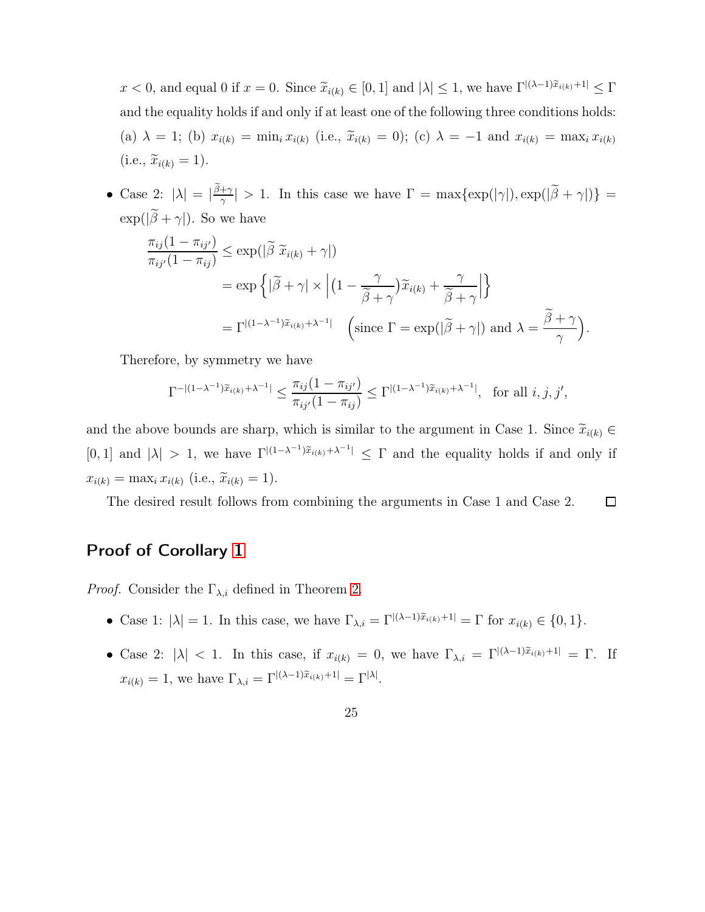$x < 0$ , and equal 0 if  $x = 0$ . Since  $\widetilde{x}_{i(k)} \in [0, 1]$  and  $|\lambda| \leq 1$ , we have  $\Gamma^{|\lambda-1|\tilde{x}_{i(k)}+1|} \leq \Gamma$ and the equality holds if and only if at least one of the following three conditions holds: (a)  $\lambda = 1$ ; (b)  $x_{i(k)} = \min_i x_{i(k)}$  (i.e.,  $\tilde{x}_{i(k)} = 0$ ); (c)  $\lambda = -1$  and  $x_{i(k)} = \max_i x_{i(k)}$  $(i.e., \widetilde{x}_{i(k)} = 1).$ 

• Case 2:  $|\lambda| = |\frac{\tilde{\beta}+\gamma}{\gamma}|$  $\frac{f(\gamma)}{\gamma}$  > 1. In this case we have  $\Gamma = \max\{\exp(|\gamma|), \exp(|\beta + \gamma|)\}$  $\exp(|\widetilde{\beta} + \gamma|)$ . So we have

$$
\frac{\pi_{ij}(1 - \pi_{ij'})}{\pi_{ij'}(1 - \pi_{ij})} \le \exp(|\widetilde{\beta} \ \widetilde{x}_{i(k)} + \gamma|)
$$
\n
$$
= \exp\left\{|\widetilde{\beta} + \gamma| \times \left| \left(1 - \frac{\gamma}{\widetilde{\beta} + \gamma}\right) \widetilde{x}_{i(k)} + \frac{\gamma}{\widetilde{\beta} + \gamma}\right| \right\}
$$
\n
$$
= \Gamma^{|\left(1 - \lambda^{-1}\right) \widetilde{x}_{i(k)} + \lambda^{-1}|} \quad \left(\text{since } \Gamma = \exp(|\widetilde{\beta} + \gamma|) \text{ and } \lambda = \frac{\widetilde{\beta} + \gamma}{\gamma}\right).
$$

Therefore, by symmetry we have

$$
\Gamma^{-|(1-\lambda^{-1})\tilde{x}_{i(k)}+\lambda^{-1}|} \leq \frac{\pi_{ij}(1-\pi_{ij'})}{\pi_{ij'}(1-\pi_{ij})} \leq \Gamma^{|(1-\lambda^{-1})\tilde{x}_{i(k)}+\lambda^{-1}|}, \text{ for all } i, j, j',
$$

and the above bounds are sharp, which is similar to the argument in Case 1. Since  $\widetilde{x}_{i(k)} \in$ [0, 1] and  $|\lambda| > 1$ , we have  $\Gamma^{|(1-\lambda^{-1})\tilde{x}_{i(k)}+\lambda^{-1}|} \leq \Gamma$  and the equality holds if and only if  $x_{i(k)} = \max_i x_{i(k)}$  (i.e.,  $\tilde{x}_{i(k)} = 1$ ).

The desired result follows from combining the arguments in Case 1 and Case 2.

 $\Box$ 

### Proof of Corollary [1](#page-9-0)

*Proof.* Consider the  $\Gamma_{\lambda,i}$  defined in Theorem [2.](#page-8-2)

- Case 1:  $|\lambda| = 1$ . In this case, we have  $\Gamma_{\lambda,i} = \Gamma^{|(\lambda-1)\tilde{x}_{i(k)}+1|} = \Gamma$  for  $x_{i(k)} \in \{0,1\}$ .
- Case 2:  $|\lambda|$  < 1. In this case, if  $x_{i(k)} = 0$ , we have  $\Gamma_{\lambda,i} = \Gamma^{|\lambda-1|\tilde{x}_{i(k)}+1|} = \Gamma$ . If  $x_{i(k)} = 1$ , we have  $\Gamma_{\lambda,i} = \Gamma^{|\lambda-1|\tilde{x}_{i(k)}+1|} = \Gamma^{|\lambda|}.$